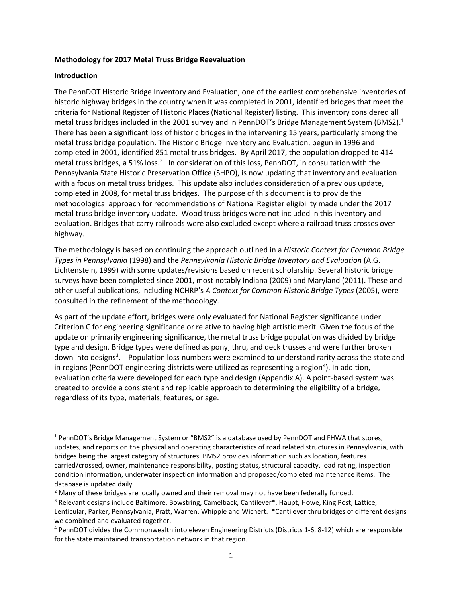## **Methodology for 2017 Metal Truss Bridge Reevaluation**

## **Introduction**

The PennDOT Historic Bridge Inventory and Evaluation, one of the earliest comprehensive inventories of historic highway bridges in the country when it was completed in 2001, identified bridges that meet the criteria for National Register of Historic Places (National Register) listing. This inventory considered all metal truss bridges included in the 200[1](#page-0-0) survey and in PennDOT's Bridge Management System (BMS2).<sup>1</sup> There has been a significant loss of historic bridges in the intervening 15 years, particularly among the metal truss bridge population. The Historic Bridge Inventory and Evaluation, begun in 1996 and completed in 2001, identified 851 metal truss bridges. By April 2017, the population dropped to 414 metal truss bridges, a 51% loss.<sup>[2](#page-0-1)</sup> In consideration of this loss, PennDOT, in consultation with the Pennsylvania State Historic Preservation Office (SHPO), is now updating that inventory and evaluation with a focus on metal truss bridges. This update also includes consideration of a previous update, completed in 2008, for metal truss bridges. The purpose of this document is to provide the methodological approach for recommendations of National Register eligibility made under the 2017 metal truss bridge inventory update. Wood truss bridges were not included in this inventory and evaluation. Bridges that carry railroads were also excluded except where a railroad truss crosses over highway.

The methodology is based on continuing the approach outlined in a *Historic Context for Common Bridge Types in Pennsylvania* (1998) and the *Pennsylvania Historic Bridge Inventory and Evaluation* (A.G. Lichtenstein, 1999) with some updates/revisions based on recent scholarship. Several historic bridge surveys have been completed since 2001, most notably Indiana (2009) and Maryland (2011). These and other useful publications, including NCHRP's *A Context for Common Historic Bridge Types* (2005), were consulted in the refinement of the methodology.

As part of the update effort, bridges were only evaluated for National Register significance under Criterion C for engineering significance or relative to having high artistic merit. Given the focus of the update on primarily engineering significance, the metal truss bridge population was divided by bridge type and design. Bridge types were defined as pony, thru, and deck trusses and were further broken down into designs<sup>[3](#page-0-2)</sup>. Population loss numbers were examined to understand rarity across the state and in regions (PennDOT engineering districts were utilized as representing a region<sup>[4](#page-0-3)</sup>). In addition, evaluation criteria were developed for each type and design (Appendix A). A point-based system was created to provide a consistent and replicable approach to determining the eligibility of a bridge, regardless of its type, materials, features, or age.

<span id="page-0-0"></span><sup>&</sup>lt;sup>1</sup> PennDOT's Bridge Management System or "BMS2" is a database used by PennDOT and FHWA that stores, updates, and reports on the physical and operating characteristics of road related structures in Pennsylvania, with bridges being the largest category of structures. BMS2 provides information such as location, features carried/crossed, owner, maintenance responsibility, posting status, structural capacity, load rating, inspection condition information, underwater inspection information and proposed/completed maintenance items. The database is updated daily.

<span id="page-0-1"></span><sup>&</sup>lt;sup>2</sup> Many of these bridges are locally owned and their removal may not have been federally funded.

<span id="page-0-2"></span><sup>&</sup>lt;sup>3</sup> Relevant designs include Baltimore, Bowstring, Camelback, Cantilever\*, Haupt, Howe, King Post, Lattice, Lenticular, Parker, Pennsylvania, Pratt, Warren, Whipple and Wichert. \*Cantilever thru bridges of different designs we combined and evaluated together.

<span id="page-0-3"></span><sup>4</sup> PennDOT divides the Commonwealth into eleven Engineering Districts (Districts 1-6, 8-12) which are responsible for the state maintained transportation network in that region.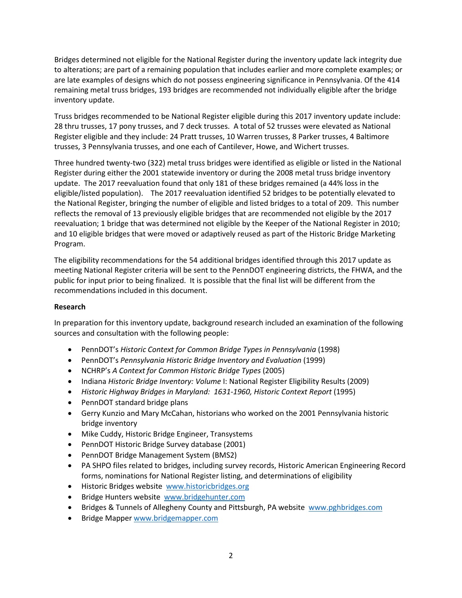Bridges determined not eligible for the National Register during the inventory update lack integrity due to alterations; are part of a remaining population that includes earlier and more complete examples; or are late examples of designs which do not possess engineering significance in Pennsylvania. Of the 414 remaining metal truss bridges, 193 bridges are recommended not individually eligible after the bridge inventory update.

Truss bridges recommended to be National Register eligible during this 2017 inventory update include: 28 thru trusses, 17 pony trusses, and 7 deck trusses. A total of 52 trusses were elevated as National Register eligible and they include: 24 Pratt trusses, 10 Warren trusses, 8 Parker trusses, 4 Baltimore trusses, 3 Pennsylvania trusses, and one each of Cantilever, Howe, and Wichert trusses.

Three hundred twenty-two (322) metal truss bridges were identified as eligible or listed in the National Register during either the 2001 statewide inventory or during the 2008 metal truss bridge inventory update. The 2017 reevaluation found that only 181 of these bridges remained (a 44% loss in the eligible/listed population). The 2017 reevaluation identified 52 bridges to be potentially elevated to the National Register, bringing the number of eligible and listed bridges to a total of 209. This number reflects the removal of 13 previously eligible bridges that are recommended not eligible by the 2017 reevaluation; 1 bridge that was determined not eligible by the Keeper of the National Register in 2010; and 10 eligible bridges that were moved or adaptively reused as part of the Historic Bridge Marketing Program.

The eligibility recommendations for the 54 additional bridges identified through this 2017 update as meeting National Register criteria will be sent to the PennDOT engineering districts, the FHWA, and the public for input prior to being finalized. It is possible that the final list will be different from the recommendations included in this document.

## **Research**

In preparation for this inventory update, background research included an examination of the following sources and consultation with the following people:

- PennDOT's *Historic Context for Common Bridge Types in Pennsylvania* (1998)
- PennDOT's *Pennsylvania Historic Bridge Inventory and Evaluation* (1999)
- NCHRP's *A Context for Common Historic Bridge Types* (2005)
- Indiana *Historic Bridge Inventory: Volume* I: National Register Eligibility Results (2009)
- *Historic Highway Bridges in Maryland: 1631-1960, Historic Context Report* (1995)
- PennDOT standard bridge plans
- Gerry Kunzio and Mary McCahan, historians who worked on the 2001 Pennsylvania historic bridge inventory
- Mike Cuddy, Historic Bridge Engineer, Transystems
- PennDOT Historic Bridge Survey database (2001)
- PennDOT Bridge Management System (BMS2)
- PA SHPO files related to bridges, including survey records, Historic American Engineering Record forms, nominations for National Register listing, and determinations of eligibility
- Historic Bridges website [www.historicbridges.org](http://www.historicbridges.org/)
- Bridge Hunters website [www.bridgehunter.com](http://www.bridgehunter.com/)
- Bridges & Tunnels of Allegheny County and Pittsburgh, PA website [www.pghbridges.com](http://www.pghbridges.com/)
- Bridge Mapper [www.bridgemapper.com](http://www.bridgemapper.com/)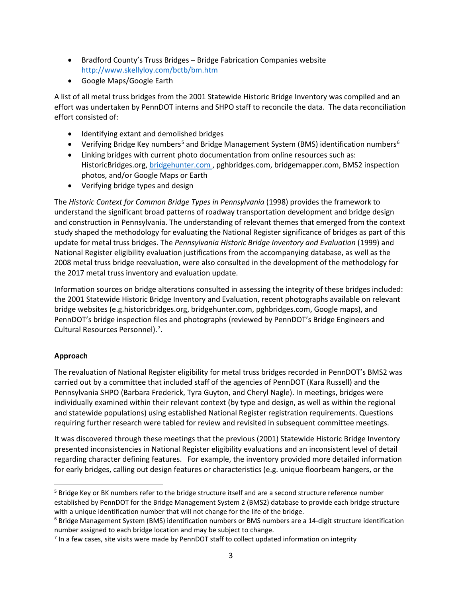- Bradford County's Truss Bridges Bridge Fabrication Companies website <http://www.skellyloy.com/bctb/bm.htm>
- Google Maps/Google Earth

A list of all metal truss bridges from the 2001 Statewide Historic Bridge Inventory was compiled and an effort was undertaken by PennDOT interns and SHPO staff to reconcile the data. The data reconciliation effort consisted of:

- Identifying extant and demolished bridges
- Verifying Bridge Key numbers<sup>[5](#page-2-0)</sup> and Bridge Management System (BMS) identification numbers<sup>[6](#page-2-1)</sup>
- Linking bridges with current photo documentation from online resources such as: HistoricBridges.org, [bridgehunter.com](http://www.bridgehunter.com/) , pghbridges.com, bridgemapper.com, BMS2 inspection photos, and/or Google Maps or Earth
- Verifying bridge types and design

The *Historic Context for Common Bridge Types in Pennsylvania* (1998) provides the framework to understand the significant broad patterns of roadway transportation development and bridge design and construction in Pennsylvania. The understanding of relevant themes that emerged from the context study shaped the methodology for evaluating the National Register significance of bridges as part of this update for metal truss bridges. The *Pennsylvania Historic Bridge Inventory and Evaluation* (1999) and National Register eligibility evaluation justifications from the accompanying database, as well as the 2008 metal truss bridge reevaluation, were also consulted in the development of the methodology for the 2017 metal truss inventory and evaluation update.

Information sources on bridge alterations consulted in assessing the integrity of these bridges included: the 2001 Statewide Historic Bridge Inventory and Evaluation, recent photographs available on relevant bridge websites (e.g.historicbridges.org, bridgehunter.com, pghbridges.com, Google maps), and PennDOT's bridge inspection files and photographs (reviewed by PennDOT's Bridge Engineers and Cultural Resources Personnel).<sup>[7](#page-2-2)</sup>.

# **Approach**

The revaluation of National Register eligibility for metal truss bridges recorded in PennDOT's BMS2 was carried out by a committee that included staff of the agencies of PennDOT (Kara Russell) and the Pennsylvania SHPO (Barbara Frederick, Tyra Guyton, and Cheryl Nagle). In meetings, bridges were individually examined within their relevant context (by type and design, as well as within the regional and statewide populations) using established National Register registration requirements. Questions requiring further research were tabled for review and revisited in subsequent committee meetings.

It was discovered through these meetings that the previous (2001) Statewide Historic Bridge Inventory presented inconsistencies in National Register eligibility evaluations and an inconsistent level of detail regarding character defining features. For example, the inventory provided more detailed information for early bridges, calling out design features or characteristics (e.g. unique floorbeam hangers, or the

<span id="page-2-0"></span><sup>&</sup>lt;sup>5</sup> Bridge Key or BK numbers refer to the bridge structure itself and are a second structure reference number established by PennDOT for the Bridge Management System 2 (BMS2) database to provide each bridge structure with a unique identification number that will not change for the life of the bridge.

<span id="page-2-1"></span><sup>6</sup> Bridge Management System (BMS) identification numbers or BMS numbers are a 14-digit structure identification number assigned to each bridge location and may be subject to change.

<span id="page-2-2"></span> $<sup>7</sup>$  In a few cases, site visits were made by PennDOT staff to collect updated information on integrity</sup>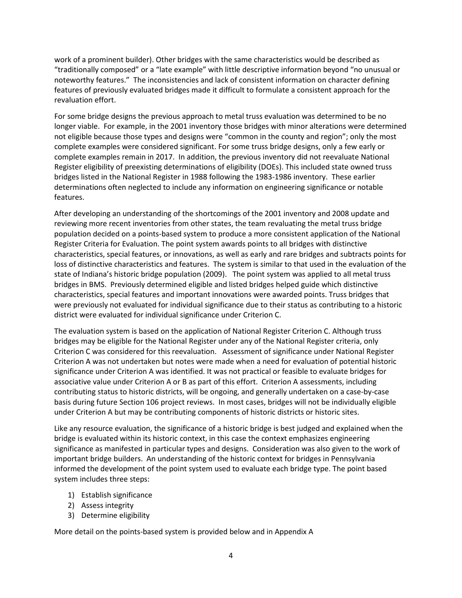work of a prominent builder). Other bridges with the same characteristics would be described as "traditionally composed" or a "late example" with little descriptive information beyond "no unusual or noteworthy features." The inconsistencies and lack of consistent information on character defining features of previously evaluated bridges made it difficult to formulate a consistent approach for the revaluation effort.

For some bridge designs the previous approach to metal truss evaluation was determined to be no longer viable. For example, in the 2001 inventory those bridges with minor alterations were determined not eligible because those types and designs were "common in the county and region"; only the most complete examples were considered significant. For some truss bridge designs, only a few early or complete examples remain in 2017. In addition, the previous inventory did not reevaluate National Register eligibility of preexisting determinations of eligibility (DOEs). This included state owned truss bridges listed in the National Register in 1988 following the 1983-1986 inventory. These earlier determinations often neglected to include any information on engineering significance or notable features.

After developing an understanding of the shortcomings of the 2001 inventory and 2008 update and reviewing more recent inventories from other states, the team revaluating the metal truss bridge population decided on a points-based system to produce a more consistent application of the National Register Criteria for Evaluation. The point system awards points to all bridges with distinctive characteristics, special features, or innovations, as well as early and rare bridges and subtracts points for loss of distinctive characteristics and features. The system is similar to that used in the evaluation of the state of Indiana's historic bridge population (2009). The point system was applied to all metal truss bridges in BMS. Previously determined eligible and listed bridges helped guide which distinctive characteristics, special features and important innovations were awarded points. Truss bridges that were previously not evaluated for individual significance due to their status as contributing to a historic district were evaluated for individual significance under Criterion C.

The evaluation system is based on the application of National Register Criterion C. Although truss bridges may be eligible for the National Register under any of the National Register criteria, only Criterion C was considered for this reevaluation. Assessment of significance under National Register Criterion A was not undertaken but notes were made when a need for evaluation of potential historic significance under Criterion A was identified. It was not practical or feasible to evaluate bridges for associative value under Criterion A or B as part of this effort. Criterion A assessments, including contributing status to historic districts, will be ongoing, and generally undertaken on a case-by-case basis during future Section 106 project reviews. In most cases, bridges will not be individually eligible under Criterion A but may be contributing components of historic districts or historic sites.

Like any resource evaluation, the significance of a historic bridge is best judged and explained when the bridge is evaluated within its historic context, in this case the context emphasizes engineering significance as manifested in particular types and designs. Consideration was also given to the work of important bridge builders. An understanding of the historic context for bridges in Pennsylvania informed the development of the point system used to evaluate each bridge type. The point based system includes three steps:

- 1) Establish significance
- 2) Assess integrity
- 3) Determine eligibility

More detail on the points-based system is provided below and in Appendix A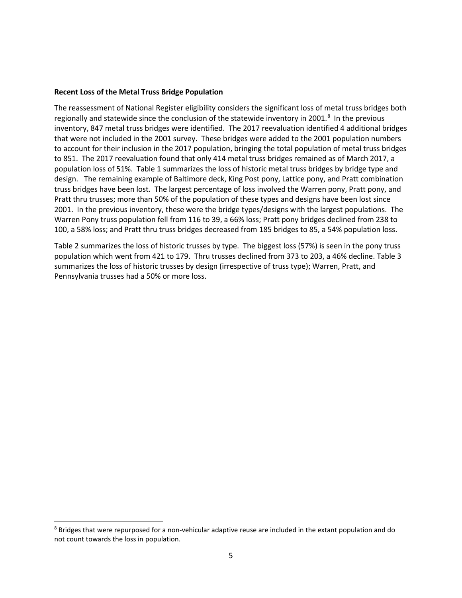### **Recent Loss of the Metal Truss Bridge Population**

The reassessment of National Register eligibility considers the significant loss of metal truss bridges both regionally and statewide since the conclusion of the statewide inventory in 2001.<sup>[8](#page-4-0)</sup> In the previous inventory, 847 metal truss bridges were identified. The 2017 reevaluation identified 4 additional bridges that were not included in the 2001 survey. These bridges were added to the 2001 population numbers to account for their inclusion in the 2017 population, bringing the total population of metal truss bridges to 851. The 2017 reevaluation found that only 414 metal truss bridges remained as of March 2017, a population loss of 51%. Table 1 summarizes the loss of historic metal truss bridges by bridge type and design. The remaining example of Baltimore deck, King Post pony, Lattice pony, and Pratt combination truss bridges have been lost. The largest percentage of loss involved the Warren pony, Pratt pony, and Pratt thru trusses; more than 50% of the population of these types and designs have been lost since 2001. In the previous inventory, these were the bridge types/designs with the largest populations. The Warren Pony truss population fell from 116 to 39, a 66% loss; Pratt pony bridges declined from 238 to 100, a 58% loss; and Pratt thru truss bridges decreased from 185 bridges to 85, a 54% population loss.

Table 2 summarizes the loss of historic trusses by type. The biggest loss (57%) is seen in the pony truss population which went from 421 to 179. Thru trusses declined from 373 to 203, a 46% decline. Table 3 summarizes the loss of historic trusses by design (irrespective of truss type); Warren, Pratt, and Pennsylvania trusses had a 50% or more loss.

<span id="page-4-0"></span><sup>&</sup>lt;sup>8</sup> Bridges that were repurposed for a non-vehicular adaptive reuse are included in the extant population and do not count towards the loss in population.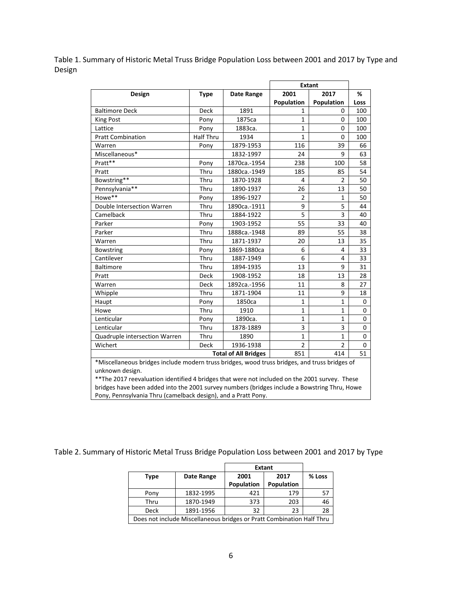Table 1. Summary of Historic Metal Truss Bridge Population Loss between 2001 and 2017 by Type and Design

r.

|                                                                                                                                                                                                                    |                  |                             |                | <b>Extant</b>  |          |  |
|--------------------------------------------------------------------------------------------------------------------------------------------------------------------------------------------------------------------|------------------|-----------------------------|----------------|----------------|----------|--|
| Design                                                                                                                                                                                                             | <b>Type</b>      | Date Range                  | 2001<br>2017   |                | %        |  |
|                                                                                                                                                                                                                    |                  |                             | Population     | Population     | Loss     |  |
| <b>Baltimore Deck</b>                                                                                                                                                                                              | Deck             | 1891                        | 1              | 0              | 100      |  |
| <b>King Post</b>                                                                                                                                                                                                   | Pony             | 1875ca                      | $\mathbf{1}$   | 0              | 100      |  |
| Lattice                                                                                                                                                                                                            | Pony             | 1883ca.                     | $\mathbf{1}$   | 0              | 100      |  |
| <b>Pratt Combination</b>                                                                                                                                                                                           | <b>Half Thru</b> | 1934                        | $\mathbf{1}$   | $\mathbf 0$    | 100      |  |
| Warren                                                                                                                                                                                                             | Pony             | 1879-1953                   | 116            | 39             | 66       |  |
| Miscellaneous*                                                                                                                                                                                                     |                  | 1832-1997                   | 24             | 9              | 63       |  |
| Pratt**                                                                                                                                                                                                            | Pony             | 1870ca.-1954                | 238            | 100            | 58       |  |
| Pratt                                                                                                                                                                                                              | Thru             | 1880ca.-1949                | 185            | 85             | 54       |  |
| Bowstring**                                                                                                                                                                                                        | Thru             | 1870-1928                   | 4              | $\overline{2}$ | 50       |  |
| Pennsylvania**                                                                                                                                                                                                     | Thru             | 1890-1937                   | 26             | 13             | 50       |  |
| Howe**                                                                                                                                                                                                             | Pony             | 1896-1927                   | $\overline{2}$ | 1              | 50       |  |
| Double Intersection Warren                                                                                                                                                                                         | Thru             | 1890ca.-1911                | 9              | 5              | 44       |  |
| Camelback                                                                                                                                                                                                          | Thru             | 1884-1922                   | 5              | 3              | 40       |  |
| Parker                                                                                                                                                                                                             | Pony             | 1903-1952                   | 55             | 33             | 40       |  |
| Parker                                                                                                                                                                                                             | Thru             | 1888ca.-1948                | 89             | 55             | 38       |  |
| Warren                                                                                                                                                                                                             | Thru             | 1871-1937                   | 20             | 13             | 35       |  |
| <b>Bowstring</b>                                                                                                                                                                                                   | Pony             | 1869-1880ca                 | 6              | 4              | 33       |  |
| Cantilever                                                                                                                                                                                                         | Thru             | 1887-1949                   | 6              | 4              | 33       |  |
| <b>Baltimore</b>                                                                                                                                                                                                   | Thru             | 1894-1935                   | 13             | 9              | 31       |  |
| Pratt                                                                                                                                                                                                              | Deck             | 1908-1952                   | 18             | 13             | 28       |  |
| Warren                                                                                                                                                                                                             | Deck             | 1892ca.-1956                | 11             | 8              | 27       |  |
| Whipple                                                                                                                                                                                                            | Thru             | 1871-1904                   | 11             | 9              | 18       |  |
| Haupt                                                                                                                                                                                                              | Pony             | 1850ca                      | 1              | 1              | $\Omega$ |  |
| Howe                                                                                                                                                                                                               | Thru             | 1910                        | 1              | 1              | $\Omega$ |  |
| Lenticular                                                                                                                                                                                                         | Pony             | 1890ca.                     | $\mathbf{1}$   | $\mathbf{1}$   | $\Omega$ |  |
| Lenticular                                                                                                                                                                                                         | Thru             | 1878-1889                   | 3              | 3              | $\Omega$ |  |
| Quadruple intersection Warren                                                                                                                                                                                      | Thru             | 1890                        | $\mathbf{1}$   | $\mathbf{1}$   | 0        |  |
| Wichert                                                                                                                                                                                                            | Deck             | 1936-1938                   | $\overline{2}$ | $\overline{2}$ | $\Omega$ |  |
|                                                                                                                                                                                                                    |                  | <b>Total of All Bridges</b> | 851            | 414            | 51       |  |
| *Miscellaneous bridges include modern truss bridges, wood truss bridges, and truss bridges of<br>unknown design.<br>** The 2017 reevaluation identified 4 bridges that were not included on the 2001 survey. These |                  |                             |                |                |          |  |
| bridges have been added into the 2001 survey numbers (bridges include a Bowstring Thru, Howe                                                                                                                       |                  |                             |                |                |          |  |
| Pony, Pennsylvania Thru (camelback design), and a Pratt Pony.                                                                                                                                                      |                  |                             |                |                |          |  |

Table 2. Summary of Historic Metal Truss Bridge Population Loss between 2001 and 2017 by Type

|             |                                                                       |            | Extant     |        |
|-------------|-----------------------------------------------------------------------|------------|------------|--------|
| Type        | Date Range                                                            | 2001       | 2017       | % Loss |
|             |                                                                       | Population | Population |        |
| Pony        | 1832-1995                                                             | 421        | 179        | 57     |
| Thru        | 1870-1949                                                             | 373        | 203        | 46     |
| <b>Deck</b> | 1891-1956                                                             | 32         | 23         | 28     |
|             | Does not include Miscellaneous bridges or Pratt Combination Half Thru |            |            |        |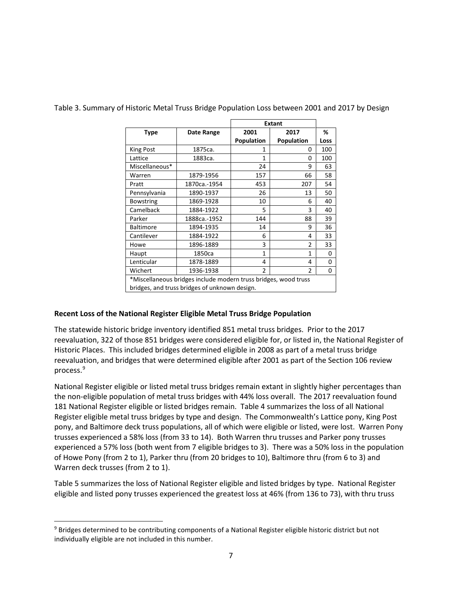|                  |                                                                 |                | <b>Extant</b>  |      |
|------------------|-----------------------------------------------------------------|----------------|----------------|------|
| <b>Type</b>      | Date Range                                                      | 2001           | 2017           | ℅    |
|                  |                                                                 | Population     | Population     | Loss |
| King Post        | 1875ca.                                                         | 1              | 0              | 100  |
| Lattice          | 1883ca.                                                         | 1              | 0              | 100  |
| Miscellaneous*   |                                                                 | 24             | 9              | 63   |
| Warren           | 1879-1956                                                       | 157            | 66             | 58   |
| Pratt            | 1870ca.-1954                                                    | 453            | 207            | 54   |
| Pennsylvania     | 1890-1937                                                       | 26             | 13             | 50   |
| <b>Bowstring</b> | 1869-1928                                                       | 10             | 6              | 40   |
| Camelback        | 1884-1922                                                       | 5              | 3              | 40   |
| Parker           | 1888ca.-1952                                                    | 144            | 88             | 39   |
| <b>Baltimore</b> | 1894-1935                                                       | 14             | 9              | 36   |
| Cantilever       | 1884-1922                                                       | 6              | 4              | 33   |
| Howe             | 1896-1889                                                       | 3              | $\overline{2}$ | 33   |
| Haupt            | 1850ca                                                          | 1              | 1              | 0    |
| Lenticular       | 1878-1889                                                       | 4              | 4              | 0    |
| Wichert          | 1936-1938                                                       | $\overline{2}$ | $\overline{2}$ | 0    |
|                  | *Miscellaneous bridges include modern truss bridges, wood truss |                |                |      |
|                  | bridges, and truss bridges of unknown design.                   |                |                |      |

Table 3. Summary of Historic Metal Truss Bridge Population Loss between 2001 and 2017 by Design

## **Recent Loss of the National Register Eligible Metal Truss Bridge Population**

The statewide historic bridge inventory identified 851 metal truss bridges. Prior to the 2017 reevaluation, 322 of those 851 bridges were considered eligible for, or listed in, the National Register of Historic Places. This included bridges determined eligible in 2008 as part of a metal truss bridge reevaluation, and bridges that were determined eligible after 2001 as part of the Section 106 review process. [9](#page-6-0)

National Register eligible or listed metal truss bridges remain extant in slightly higher percentages than the non-eligible population of metal truss bridges with 44% loss overall. The 2017 reevaluation found 181 National Register eligible or listed bridges remain. Table 4 summarizes the loss of all National Register eligible metal truss bridges by type and design. The Commonwealth's Lattice pony, King Post pony, and Baltimore deck truss populations, all of which were eligible or listed, were lost. Warren Pony trusses experienced a 58% loss (from 33 to 14). Both Warren thru trusses and Parker pony trusses experienced a 57% loss (both went from 7 eligible bridges to 3). There was a 50% loss in the population of Howe Pony (from 2 to 1), Parker thru (from 20 bridges to 10), Baltimore thru (from 6 to 3) and Warren deck trusses (from 2 to 1).

Table 5 summarizes the loss of National Register eligible and listed bridges by type. National Register eligible and listed pony trusses experienced the greatest loss at 46% (from 136 to 73), with thru truss

<span id="page-6-0"></span> <sup>9</sup> Bridges determined to be contributing components of a National Register eligible historic district but not individually eligible are not included in this number.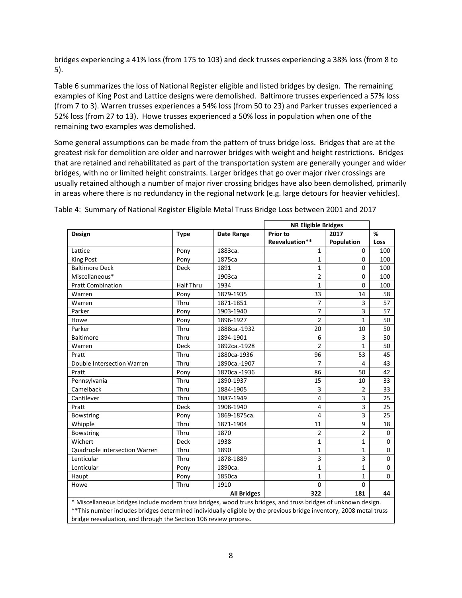bridges experiencing a 41% loss (from 175 to 103) and deck trusses experiencing a 38% loss (from 8 to 5).

Table 6 summarizes the loss of National Register eligible and listed bridges by design. The remaining examples of King Post and Lattice designs were demolished. Baltimore trusses experienced a 57% loss (from 7 to 3). Warren trusses experiences a 54% loss (from 50 to 23) and Parker trusses experienced a 52% loss (from 27 to 13). Howe trusses experienced a 50% loss in population when one of the remaining two examples was demolished.

Some general assumptions can be made from the pattern of truss bridge loss. Bridges that are at the greatest risk for demolition are older and narrower bridges with weight and height restrictions. Bridges that are retained and rehabilitated as part of the transportation system are generally younger and wider bridges, with no or limited height constraints. Larger bridges that go over major river crossings are usually retained although a number of major river crossing bridges have also been demolished, primarily in areas where there is no redundancy in the regional network (e.g. large detours for heavier vehicles).

|                                                                                                               |             |                    | <b>NR Eligible Bridges</b> |                |             |
|---------------------------------------------------------------------------------------------------------------|-------------|--------------------|----------------------------|----------------|-------------|
| Design                                                                                                        | <b>Type</b> | Date Range         | Prior to                   | 2017           | %           |
|                                                                                                               |             |                    | Reevaluation**             | Population     | Loss        |
| Lattice                                                                                                       | Pony        | 1883ca.            | $\mathbf{1}$               | $\Omega$       | 100         |
| King Post                                                                                                     | Pony        | 1875ca             | $\mathbf{1}$               | $\Omega$       | 100         |
| <b>Baltimore Deck</b>                                                                                         | Deck        | 1891               | 1                          | $\Omega$       | 100         |
| Miscellaneous*                                                                                                |             | 1903ca             | $\overline{2}$             | $\Omega$       | 100         |
| <b>Pratt Combination</b>                                                                                      | Half Thru   | 1934               | 1                          | $\Omega$       | 100         |
| Warren                                                                                                        | Pony        | 1879-1935          | 33                         | 14             | 58          |
| Warren                                                                                                        | Thru        | 1871-1851          | $\overline{7}$             | 3              | 57          |
| Parker                                                                                                        | Pony        | 1903-1940          | 7                          | 3              | 57          |
| Howe                                                                                                          | Pony        | 1896-1927          | $\overline{2}$             | 1              | 50          |
| Parker                                                                                                        | Thru        | 1888ca.-1932       | 20                         | 10             | 50          |
| <b>Baltimore</b>                                                                                              | Thru        | 1894-1901          | 6                          | 3              | 50          |
| Warren                                                                                                        | <b>Deck</b> | 1892ca.-1928       | $\overline{2}$             | $\mathbf{1}$   | 50          |
| Pratt                                                                                                         | Thru        | 1880ca-1936        | 96                         | 53             | 45          |
| Double Intersection Warren                                                                                    | Thru        | 1890ca.-1907       | 7                          | 4              | 43          |
| Pratt                                                                                                         | Pony        | 1870ca.-1936       | 86                         | 50             | 42          |
| Pennsylvania                                                                                                  | Thru        | 1890-1937          | 15                         | 10             | 33          |
| Camelback                                                                                                     | Thru        | 1884-1905          | 3                          | $\overline{2}$ | 33          |
| Cantilever                                                                                                    | Thru        | 1887-1949          | 4                          | 3              | 25          |
| Pratt                                                                                                         | <b>Deck</b> | 1908-1940          | 4                          | 3              | 25          |
| <b>Bowstring</b>                                                                                              | Pony        | 1869-1875ca.       | 4                          | $\overline{3}$ | 25          |
| Whipple                                                                                                       | Thru        | 1871-1904          | 11                         | 9              | 18          |
| Bowstring                                                                                                     | Thru        | 1870               | 2                          | $\overline{2}$ | $\mathbf 0$ |
| Wichert                                                                                                       | Deck        | 1938               | 1                          | 1              | $\mathbf 0$ |
| Quadruple intersection Warren                                                                                 | Thru        | 1890               | $\mathbf{1}$               | 1              | $\mathbf 0$ |
| Lenticular                                                                                                    | Thru        | 1878-1889          | 3                          | 3              | $\mathbf 0$ |
| Lenticular                                                                                                    | Pony        | 1890ca.            | $\mathbf{1}$               | $\mathbf{1}$   | 0           |
| Haupt                                                                                                         | Pony        | 1850ca             | $\mathbf{1}$               | 1              | $\Omega$    |
| Howe                                                                                                          | Thru        | 1910               | $\Omega$                   | $\Omega$       |             |
| * Miscellaneous bridges include modern truss bridges, wood truss bridges, and truss bridges of unknown design |             | <b>All Bridges</b> | 322                        | 181            | 44          |

Table 4: Summary of National Register Eligible Metal Truss Bridge Loss between 2001 and 2017

 $\cdot$  modern truss bridges, wood truss bridges, and truss bridg \*\*This number includes bridges determined individually eligible by the previous bridge inventory, 2008 metal truss

bridge reevaluation, and through the Section 106 review process.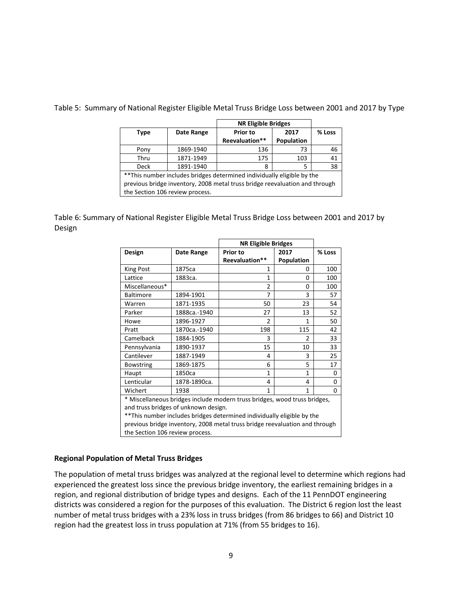|                                                                             |                                 | <b>NR Eligible Bridges</b>                                              |            |        |
|-----------------------------------------------------------------------------|---------------------------------|-------------------------------------------------------------------------|------------|--------|
| Type                                                                        | Date Range                      | <b>Prior to</b>                                                         | 2017       | % Loss |
|                                                                             |                                 | Reevaluation**                                                          | Population |        |
| Pony                                                                        | 1869-1940                       | 136                                                                     | 73         | 46     |
| Thru                                                                        | 1871-1949                       | 175                                                                     | 103        | 41     |
| <b>Deck</b>                                                                 | 1891-1940                       | 8                                                                       | 5          | 38     |
|                                                                             |                                 | ** This number includes bridges determined individually eligible by the |            |        |
| previous bridge inventory, 2008 metal truss bridge reevaluation and through |                                 |                                                                         |            |        |
|                                                                             | the Section 106 review process. |                                                                         |            |        |

Table 5: Summary of National Register Eligible Metal Truss Bridge Loss between 2001 and 2017 by Type

Table 6: Summary of National Register Eligible Metal Truss Bridge Loss between 2001 and 2017 by Design

|                                 |                                      | <b>NR Eligible Bridges</b>                                                  |               |        |
|---------------------------------|--------------------------------------|-----------------------------------------------------------------------------|---------------|--------|
| Design                          | Date Range                           | <b>Prior to</b>                                                             | 2017          | % Loss |
|                                 |                                      | Reevaluation**                                                              | Population    |        |
| <b>King Post</b>                | 1875ca                               | 1                                                                           | 0             | 100    |
| Lattice                         | 1883ca.                              | 1                                                                           | $\Omega$      | 100    |
| Miscellaneous*                  |                                      | 2                                                                           | O             | 100    |
| <b>Baltimore</b>                | 1894-1901                            | 7                                                                           | 3             | 57     |
| Warren                          | 1871-1935                            | 50                                                                          | 23            | 54     |
| Parker                          | 1888ca.-1940                         | 27                                                                          | 13            | 52     |
| Howe                            | 1896-1927                            | 2                                                                           | 1             | 50     |
| Pratt                           | 1870ca.-1940                         | 198                                                                         | 115           | 42     |
| Camelback                       | 1884-1905                            | 3                                                                           | $\mathcal{P}$ | 33     |
| Pennsylvania                    | 1890-1937                            | 15                                                                          | 10            | 33     |
| Cantilever                      | 1887-1949                            | 4                                                                           | 3             | 25     |
| <b>Bowstring</b>                | 1869-1875                            | 6                                                                           | 5             | 17     |
| Haupt                           | 1850ca                               | 1                                                                           | 1             | 0      |
| Lenticular                      | 1878-1890ca.                         | 4                                                                           | 4             | 0      |
| Wichert                         | 1938                                 | 1                                                                           | 1             | 0      |
|                                 |                                      | * Miscellaneous bridges include modern truss bridges, wood truss bridges,   |               |        |
|                                 | and truss bridges of unknown design. |                                                                             |               |        |
|                                 |                                      | **This number includes bridges determined individually eligible by the      |               |        |
|                                 |                                      | previous bridge inventory, 2008 metal truss bridge reevaluation and through |               |        |
| the Section 106 review process. |                                      |                                                                             |               |        |

#### **Regional Population of Metal Truss Bridges**

The population of metal truss bridges was analyzed at the regional level to determine which regions had experienced the greatest loss since the previous bridge inventory, the earliest remaining bridges in a region, and regional distribution of bridge types and designs. Each of the 11 PennDOT engineering districts was considered a region for the purposes of this evaluation. The District 6 region lost the least number of metal truss bridges with a 23% loss in truss bridges (from 86 bridges to 66) and District 10 region had the greatest loss in truss population at 71% (from 55 bridges to 16).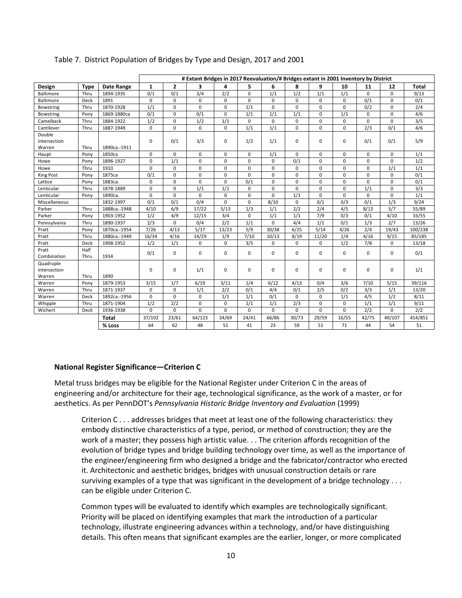|                  |             |              |             | # Extant Bridges in 2017 Reevaluation/# Bridges extant in 2001 Inventory by District |             |             |             |             |             |             |          |             |             |              |
|------------------|-------------|--------------|-------------|--------------------------------------------------------------------------------------|-------------|-------------|-------------|-------------|-------------|-------------|----------|-------------|-------------|--------------|
| Design           | <b>Type</b> | Date Range   | 1           | $\overline{2}$                                                                       | 3           | 4           | 5.          | 6           | 8           | 9           | 10       | 11          | 12          | <b>Total</b> |
| Baltimore        | Thru        | 1894-1935    | 0/1         | 0/1                                                                                  | 3/4         | 2/2         | 0           | 1/1         | 1/2         | 1/1         | 1/1      | $\mathbf 0$ | $\Omega$    | 9/13         |
| Baltimore        | Deck        | 1891         | $\mathbf 0$ | $\mathbf 0$                                                                          | 0           | $\mathbf 0$ | $\mathbf 0$ | $\mathbf 0$ | $\Omega$    | $\Omega$    | 0        | 0/1         | $\mathbf 0$ | 0/1          |
| Bowstring        | Thru        | 1870-1928    | 1/1         | 0                                                                                    | $\mathbf 0$ | $\mathbf 0$ | 1/1         | $\mathbf 0$ | $\mathbf 0$ | $\mathbf 0$ | 0        | 0/2         | $\mathbf 0$ | 2/4          |
| <b>Bowstring</b> | Pony        | 1869-1880ca  | 0/1         | $\mathbf 0$                                                                          | 0/1         | $\Omega$    | 1/1         | 1/1         | 1/1         | $\mathbf 0$ | 1/1      | $\mathbf 0$ | $\mathbf 0$ | 4/6          |
| Camelback        | Thru        | 1884-1922    | 1/2         | 0                                                                                    | 1/2         | 1/1         | $\mathbf 0$ | 0           | $\Omega$    | $\Omega$    | $\Omega$ | $\mathbf 0$ | $\mathbf 0$ | 3/5          |
| Cantilever       | Thru        | 1887-1949    | $\mathbf 0$ | $\mathbf 0$                                                                          | $\Omega$    | $\Omega$    | 1/1         | 1/1         | $\Omega$    | $\Omega$    | $\Omega$ | 2/3         | 0/1         | 4/6          |
| Double           |             |              |             |                                                                                      |             |             |             |             |             |             |          |             |             |              |
| Intersection     |             |              | $\Omega$    | 0/1                                                                                  | 3/3         | $\mathbf 0$ | 1/2         | 1/1         | $\mathbf 0$ | $\mathbf 0$ | 0        | 0/1         | 0/1         | 5/9          |
| Warren           | Thru        | 1890ca.-1911 |             |                                                                                      |             |             |             |             |             |             |          |             |             |              |
| Haupt            | Pony        | 1850ca       | $\mathbf 0$ | $\mathbf 0$                                                                          | $\Omega$    | $\Omega$    | 0           | 1/1         | $\Omega$    | $\mathbf 0$ | $\Omega$ | $\mathbf 0$ | $\mathbf 0$ | 1/1          |
| Howe             | Pony        | 1896-1927    | $\mathbf 0$ | 1/1                                                                                  | $\Omega$    | $\Omega$    | $\mathbf 0$ | $\mathbf 0$ | 0/1         | $\Omega$    | $\Omega$ | $\mathbf 0$ | $\Omega$    | 1/2          |
| Howe             | Thru        | 1910         | $\Omega$    | 0                                                                                    | $\Omega$    | $\Omega$    | $\mathbf 0$ | $\mathbf 0$ | $\Omega$    | $\Omega$    | $\Omega$ | $\mathbf 0$ | 1/1         | 1/1          |
| King Post        | Pony        | 1875ca       | 0/1         | $\mathbf 0$                                                                          | $\mathbf 0$ | $\mathbf 0$ | $\mathbf 0$ | $\mathbf 0$ | $\Omega$    | $\mathbf 0$ | $\Omega$ | $\mathbf 0$ | $\mathbf 0$ | 0/1          |
| Lattice          | Pony        | 1883ca.      | $\mathbf 0$ | $\mathbf 0$                                                                          | $\Omega$    | $\Omega$    | 0/1         | $\mathbf 0$ | $\Omega$    | $\Omega$    | $\Omega$ | $\mathbf 0$ | $\Omega$    | 0/1          |
| Lenticular       | Thru        | 1878-1889    | $\mathbf 0$ | 0                                                                                    | 1/1         | 1/1         | $\mathbf 0$ | $\mathbf 0$ | $\Omega$    | $\Omega$    | $\Omega$ | 1/1         | $\Omega$    | 3/3          |
| Lenticular       | Pony        | 1890ca.      | $\Omega$    | $\Omega$                                                                             | $\Omega$    | $\Omega$    | $\mathbf 0$ | $\Omega$    | 1/1         | $\Omega$    | $\Omega$ | $\mathbf 0$ | $\Omega$    | 1/1          |
| Miscellaneous    |             | 1832-1997    | 0/1         | 0/1                                                                                  | 0/4         | $\Omega$    | $\Omega$    | 8/10        | $\Omega$    | 0/1         | 0/3      | 0/1         | 1/3         | 9/24         |
| Parker           | Thru        | 1888ca.-1948 | 4/10        | 6/9                                                                                  | 17/22       | 5/13        | 1/3         | 1/1         | 2/2         | 2/4         | 4/5      | 8/13        | 5/7         | 55/89        |
| Parker           | Pony        | 1903-1952    | 1/2         | 4/9                                                                                  | 12/15       | 3/4         | $\mathbf 0$ | 1/1         | 1/1         | 7/9         | 0/3      | 0/1         | 4/10        | 33/55        |
| Pennsylvania     | Thru        | 1890-1937    | 2/3         | $\mathbf 0$                                                                          | 0/4         | 2/2         | 1/1         | 0           | 4/4         | 1/1         | 0/1      | 1/3         | 2/7         | 13/26        |
| Pratt            | Pony        | 1870ca.-1954 | 7/26        | 4/13                                                                                 | 5/17        | 13/23       | 5/9         | 30/38       | 6/25        | 5/14        | 4/26     | 2/4         | 19/43       | 100/238      |
| Pratt            | Thru        | 1880ca.-1949 | 16/34       | 4/16                                                                                 | 14/29       | 1/9         | 7/10        | 10/13       | 8/19        | 11/20       | 1/4      | 4/16        | 9/15        | 85/185       |
| Pratt            | Deck        | 1908-1952    | 1/2         | 1/1                                                                                  | $\Omega$    | $\Omega$    | 3/5         | $\mathbf 0$ | $\Omega$    | $\Omega$    | 1/2      | 7/8         | $\Omega$    | 13/18        |
| Pratt            | Half        |              | 0/1         | 0                                                                                    | 0           | $\Omega$    | $\mathbf 0$ | $\mathbf 0$ | $\Omega$    | $\Omega$    | 0        | $\mathbf 0$ | $\Omega$    | 0/1          |
| Combination      | Thru        | 1934         |             |                                                                                      |             |             |             |             |             |             |          |             |             |              |
| Quadruple        |             |              |             |                                                                                      |             |             |             |             |             |             |          |             |             |              |
| intersection     |             |              | $\Omega$    | 0                                                                                    | 1/1         | $\Omega$    | 0           | 0           | $\Omega$    | $\Omega$    | $\Omega$ | 0           | 0           | 1/1          |
| Warren           | Thru        | 1890         |             |                                                                                      |             |             |             |             |             |             |          |             |             |              |
| Warren           | Pony        | 1879-1953    | 3/15        | 1/7                                                                                  | 6/19        | 3/11        | 1/4         | 6/12        | 4/13        | 0/4         | 3/6      | 7/10        | 5/15        | 39/116       |
| Warren           | Thru        | 1871-1937    | $\Omega$    | 0                                                                                    | 1/1         | 2/2         | 0/1         | 4/4         | 0/1         | 2/5         | 0/2      | 3/3         | 1/1         | 13/20        |
| Warren           | Deck        | 1892ca.-1956 | $\Omega$    | 0                                                                                    | 0           | 1/1         | 1/1         | 0/1         | 0           | 0           | 1/1      | 4/5         | 1/2         | 8/11         |
| Whipple          | Thru        | 1871-1904    | 1/2         | 2/2                                                                                  | 0           | $\Omega$    | 1/1         | 1/1         | 2/3         | $\mathbf 0$ | $\Omega$ | 1/1         | 1/1         | 9/11         |
| Wichert          | Deck        | 1936-1938    | $\Omega$    | 0                                                                                    | $\Omega$    | $\Omega$    | $\Omega$    | $\mathbf 0$ | $\Omega$    | $\Omega$    | $\Omega$ | 2/2         | $\Omega$    | 2/2          |
|                  |             | <b>Total</b> | 37/102      | 23/61                                                                                | 64/123      | 34/69       | 24/41       | 66/86       | 30/73       | 29/59       | 16/55    | 42/75       | 49/107      | 414/851      |
|                  |             | % Loss       | 64          | 62                                                                                   | 48          | 51          | 41          | 23          | 59          | 51          | 71       | 44          | 54          | 51           |

## Table 7. District Population of Bridges by Type and Design, 2017 and 2001

#### **National Register Significance—Criterion C**

Metal truss bridges may be eligible for the National Register under Criterion C in the areas of engineering and/or architecture for their age, technological significance, as the work of a master, or for aesthetics. As per PennDOT's *Pennsylvania Historic Bridge Inventory and Evaluation* (1999)

Criterion C . . . addresses bridges that meet at least one of the following characteristics: they embody distinctive characteristics of a type, period, or method of construction; they are the work of a master; they possess high artistic value. . . The criterion affords recognition of the evolution of bridge types and bridge building technology over time, as well as the importance of the engineer/engineering firm who designed a bridge and the fabricator/contractor who erected it. Architectonic and aesthetic bridges, bridges with unusual construction details or rare surviving examples of a type that was significant in the development of a bridge technology . . . can be eligible under Criterion C.

Common types will be evaluated to identify which examples are technologically significant. Priority will be placed on identifying examples that mark the introduction of a particular technology, illustrate engineering advances within a technology, and/or have distinguishing details. This often means that significant examples are the earlier, longer, or more complicated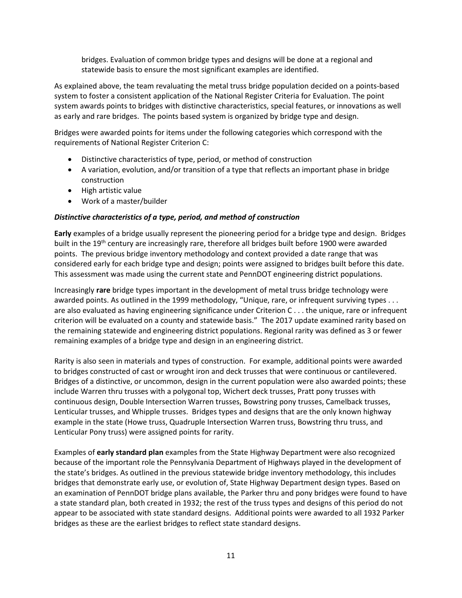bridges. Evaluation of common bridge types and designs will be done at a regional and statewide basis to ensure the most significant examples are identified.

As explained above, the team revaluating the metal truss bridge population decided on a points-based system to foster a consistent application of the National Register Criteria for Evaluation. The point system awards points to bridges with distinctive characteristics, special features, or innovations as well as early and rare bridges. The points based system is organized by bridge type and design.

Bridges were awarded points for items under the following categories which correspond with the requirements of National Register Criterion C:

- Distinctive characteristics of type, period, or method of construction
- A variation, evolution, and/or transition of a type that reflects an important phase in bridge construction
- High artistic value
- Work of a master/builder

## *Distinctive characteristics of a type, period, and method of construction*

**Early** examples of a bridge usually represent the pioneering period for a bridge type and design. Bridges built in the 19<sup>th</sup> century are increasingly rare, therefore all bridges built before 1900 were awarded points. The previous bridge inventory methodology and context provided a date range that was considered early for each bridge type and design; points were assigned to bridges built before this date. This assessment was made using the current state and PennDOT engineering district populations.

Increasingly **rare** bridge types important in the development of metal truss bridge technology were awarded points. As outlined in the 1999 methodology, "Unique, rare, or infrequent surviving types . . . are also evaluated as having engineering significance under Criterion C . . . the unique, rare or infrequent criterion will be evaluated on a county and statewide basis." The 2017 update examined rarity based on the remaining statewide and engineering district populations. Regional rarity was defined as 3 or fewer remaining examples of a bridge type and design in an engineering district.

Rarity is also seen in materials and types of construction. For example, additional points were awarded to bridges constructed of cast or wrought iron and deck trusses that were continuous or cantilevered. Bridges of a distinctive, or uncommon, design in the current population were also awarded points; these include Warren thru trusses with a polygonal top, Wichert deck trusses, Pratt pony trusses with continuous design, Double Intersection Warren trusses, Bowstring pony trusses, Camelback trusses, Lenticular trusses, and Whipple trusses. Bridges types and designs that are the only known highway example in the state (Howe truss, Quadruple Intersection Warren truss, Bowstring thru truss, and Lenticular Pony truss) were assigned points for rarity.

Examples of **early standard plan** examples from the State Highway Department were also recognized because of the important role the Pennsylvania Department of Highways played in the development of the state's bridges. As outlined in the previous statewide bridge inventory methodology, this includes bridges that demonstrate early use, or evolution of, State Highway Department design types. Based on an examination of PennDOT bridge plans available, the Parker thru and pony bridges were found to have a state standard plan, both created in 1932; the rest of the truss types and designs of this period do not appear to be associated with state standard designs. Additional points were awarded to all 1932 Parker bridges as these are the earliest bridges to reflect state standard designs.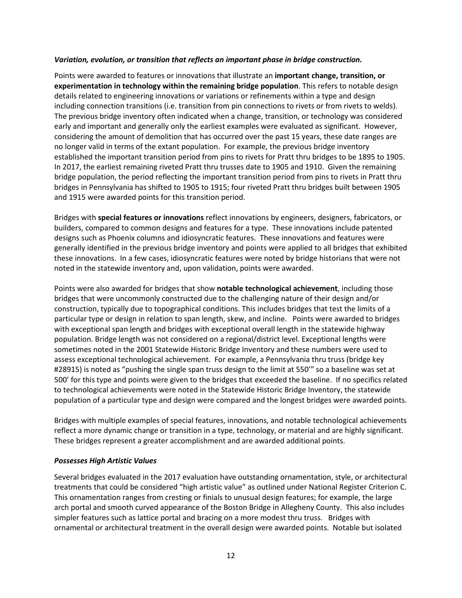## *Variation, evolution, or transition that reflects an important phase in bridge construction.*

Points were awarded to features or innovations that illustrate an **important change, transition, or experimentation in technology within the remaining bridge population**. This refers to notable design details related to engineering innovations or variations or refinements within a type and design including connection transitions (i.e. transition from pin connections to rivets or from rivets to welds). The previous bridge inventory often indicated when a change, transition, or technology was considered early and important and generally only the earliest examples were evaluated as significant. However, considering the amount of demolition that has occurred over the past 15 years, these date ranges are no longer valid in terms of the extant population. For example, the previous bridge inventory established the important transition period from pins to rivets for Pratt thru bridges to be 1895 to 1905. In 2017, the earliest remaining riveted Pratt thru trusses date to 1905 and 1910. Given the remaining bridge population, the period reflecting the important transition period from pins to rivets in Pratt thru bridges in Pennsylvania has shifted to 1905 to 1915; four riveted Pratt thru bridges built between 1905 and 1915 were awarded points for this transition period.

Bridges with **special features or innovations** reflect innovations by engineers, designers, fabricators, or builders, compared to common designs and features for a type. These innovations include patented designs such as Phoenix columns and idiosyncratic features. These innovations and features were generally identified in the previous bridge inventory and points were applied to all bridges that exhibited these innovations. In a few cases, idiosyncratic features were noted by bridge historians that were not noted in the statewide inventory and, upon validation, points were awarded.

Points were also awarded for bridges that show **notable technological achievement**, including those bridges that were uncommonly constructed due to the challenging nature of their design and/or construction, typically due to topographical conditions. This includes bridges that test the limits of a particular type or design in relation to span length, skew, and incline. Points were awarded to bridges with exceptional span length and bridges with exceptional overall length in the statewide highway population. Bridge length was not considered on a regional/district level. Exceptional lengths were sometimes noted in the 2001 Statewide Historic Bridge Inventory and these numbers were used to assess exceptional technological achievement. For example, a Pennsylvania thru truss (bridge key #28915) is noted as "pushing the single span truss design to the limit at 550'" so a baseline was set at 500' for this type and points were given to the bridges that exceeded the baseline. If no specifics related to technological achievements were noted in the Statewide Historic Bridge Inventory, the statewide population of a particular type and design were compared and the longest bridges were awarded points.

Bridges with multiple examples of special features, innovations, and notable technological achievements reflect a more dynamic change or transition in a type, technology, or material and are highly significant. These bridges represent a greater accomplishment and are awarded additional points.

## *Possesses High Artistic Values*

Several bridges evaluated in the 2017 evaluation have outstanding ornamentation, style, or architectural treatments that could be considered "high artistic value" as outlined under National Register Criterion C. This ornamentation ranges from cresting or finials to unusual design features; for example, the large arch portal and smooth curved appearance of the Boston Bridge in Allegheny County. This also includes simpler features such as lattice portal and bracing on a more modest thru truss. Bridges with ornamental or architectural treatment in the overall design were awarded points. Notable but isolated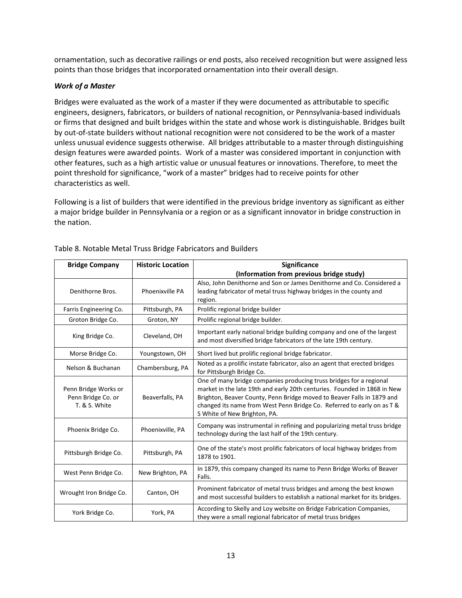ornamentation, such as decorative railings or end posts, also received recognition but were assigned less points than those bridges that incorporated ornamentation into their overall design.

## *Work of a Master*

Bridges were evaluated as the work of a master if they were documented as attributable to specific engineers, designers, fabricators, or builders of national recognition, or Pennsylvania-based individuals or firms that designed and built bridges within the state and whose work is distinguishable. Bridges built by out-of-state builders without national recognition were not considered to be the work of a master unless unusual evidence suggests otherwise. All bridges attributable to a master through distinguishing design features were awarded points. Work of a master was considered important in conjunction with other features, such as a high artistic value or unusual features or innovations. Therefore, to meet the point threshold for significance, "work of a master" bridges had to receive points for other characteristics as well.

Following is a list of builders that were identified in the previous bridge inventory as significant as either a major bridge builder in Pennsylvania or a region or as a significant innovator in bridge construction in the nation.

| <b>Bridge Company</b>                                       | <b>Historic Location</b> | <b>Significance</b>                                                                                                                                                                                                                                                                                                                 |
|-------------------------------------------------------------|--------------------------|-------------------------------------------------------------------------------------------------------------------------------------------------------------------------------------------------------------------------------------------------------------------------------------------------------------------------------------|
|                                                             |                          | (Information from previous bridge study)                                                                                                                                                                                                                                                                                            |
| Denithorne Bros.                                            | Phoenixville PA          | Also, John Denithorne and Son or James Denithorne and Co. Considered a<br>leading fabricator of metal truss highway bridges in the county and<br>region.                                                                                                                                                                            |
| Farris Engineering Co.                                      | Pittsburgh, PA           | Prolific regional bridge builder                                                                                                                                                                                                                                                                                                    |
| Groton Bridge Co.                                           | Groton, NY               | Prolific regional bridge builder.                                                                                                                                                                                                                                                                                                   |
| King Bridge Co.                                             | Cleveland, OH            | Important early national bridge building company and one of the largest<br>and most diversified bridge fabricators of the late 19th century.                                                                                                                                                                                        |
| Morse Bridge Co.                                            | Youngstown, OH           | Short lived but prolific regional bridge fabricator.                                                                                                                                                                                                                                                                                |
| Nelson & Buchanan                                           | Chambersburg, PA         | Noted as a prolific instate fabricator, also an agent that erected bridges<br>for Pittsburgh Bridge Co.                                                                                                                                                                                                                             |
| Penn Bridge Works or<br>Penn Bridge Co. or<br>T. & S. White | Beaverfalls, PA          | One of many bridge companies producing truss bridges for a regional<br>market in the late 19th and early 20th centuries. Founded in 1868 in New<br>Brighton, Beaver County, Penn Bridge moved to Beaver Falls in 1879 and<br>changed its name from West Penn Bridge Co. Referred to early on as T &<br>S White of New Brighton, PA. |
| Phoenix Bridge Co.                                          | Phoenixville, PA         | Company was instrumental in refining and popularizing metal truss bridge<br>technology during the last half of the 19th century.                                                                                                                                                                                                    |
| Pittsburgh Bridge Co.                                       | Pittsburgh, PA           | One of the state's most prolific fabricators of local highway bridges from<br>1878 to 1901.                                                                                                                                                                                                                                         |
| West Penn Bridge Co.                                        | New Brighton, PA         | In 1879, this company changed its name to Penn Bridge Works of Beaver<br>Falls.                                                                                                                                                                                                                                                     |
| Wrought Iron Bridge Co.                                     | Canton, OH               | Prominent fabricator of metal truss bridges and among the best known<br>and most successful builders to establish a national market for its bridges.                                                                                                                                                                                |
| York Bridge Co.                                             | York, PA                 | According to Skelly and Loy website on Bridge Fabrication Companies,<br>they were a small regional fabricator of metal truss bridges                                                                                                                                                                                                |

## Table 8. Notable Metal Truss Bridge Fabricators and Builders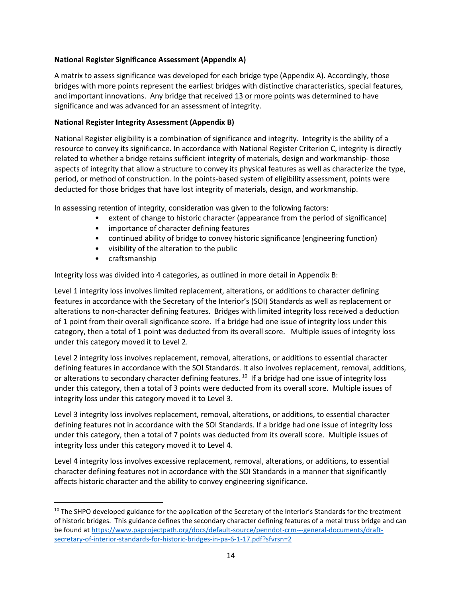## **National Register Significance Assessment (Appendix A)**

A matrix to assess significance was developed for each bridge type (Appendix A). Accordingly, those bridges with more points represent the earliest bridges with distinctive characteristics, special features, and important innovations. Any bridge that received 13 or more points was determined to have significance and was advanced for an assessment of integrity.

## **National Register Integrity Assessment (Appendix B)**

National Register eligibility is a combination of significance and integrity. Integrity is the ability of a resource to convey its significance. In accordance with National Register Criterion C, integrity is directly related to whether a bridge retains sufficient integrity of materials, design and workmanship- those aspects of integrity that allow a structure to convey its physical features as well as characterize the type, period, or method of construction. In the points-based system of eligibility assessment, points were deducted for those bridges that have lost integrity of materials, design, and workmanship.

In assessing retention of integrity, consideration was given to the following factors:

- extent of change to historic character (appearance from the period of significance)
- importance of character defining features
- continued ability of bridge to convey historic significance (engineering function)
- visibility of the alteration to the public
- craftsmanship

Integrity loss was divided into 4 categories, as outlined in more detail in Appendix B:

Level 1 integrity loss involves limited replacement, alterations, or additions to character defining features in accordance with the Secretary of the Interior's (SOI) Standards as well as replacement or alterations to non-character defining features. Bridges with limited integrity loss received a deduction of 1 point from their overall significance score. If a bridge had one issue of integrity loss under this category, then a total of 1 point was deducted from its overall score. Multiple issues of integrity loss under this category moved it to Level 2.

Level 2 integrity loss involves replacement, removal, alterations, or additions to essential character defining features in accordance with the SOI Standards. It also involves replacement, removal, additions, or alterations to secondary character defining features. <sup>10</sup> If a bridge had one issue of integrity loss under this category, then a total of 3 points were deducted from its overall score. Multiple issues of integrity loss under this category moved it to Level 3.

Level 3 integrity loss involves replacement, removal, alterations, or additions, to essential character defining features not in accordance with the SOI Standards. If a bridge had one issue of integrity loss under this category, then a total of 7 points was deducted from its overall score. Multiple issues of integrity loss under this category moved it to Level 4.

Level 4 integrity loss involves excessive replacement, removal, alterations, or additions, to essential character defining features not in accordance with the SOI Standards in a manner that significantly affects historic character and the ability to convey engineering significance.

<span id="page-13-0"></span> $10$  The SHPO developed guidance for the application of the Secretary of the Interior's Standards for the treatment of historic bridges. This guidance defines the secondary character defining features of a metal truss bridge and can be found a[t https://www.paprojectpath.org/docs/default-source/penndot-crm---general-documents/draft](https://www.paprojectpath.org/docs/default-source/penndot-crm---general-documents/draft-secretary-of-interior-standards-for-historic-bridges-in-pa-6-1-17.pdf?sfvrsn=2)[secretary-of-interior-standards-for-historic-bridges-in-pa-6-1-17.pdf?sfvrsn=2](https://www.paprojectpath.org/docs/default-source/penndot-crm---general-documents/draft-secretary-of-interior-standards-for-historic-bridges-in-pa-6-1-17.pdf?sfvrsn=2)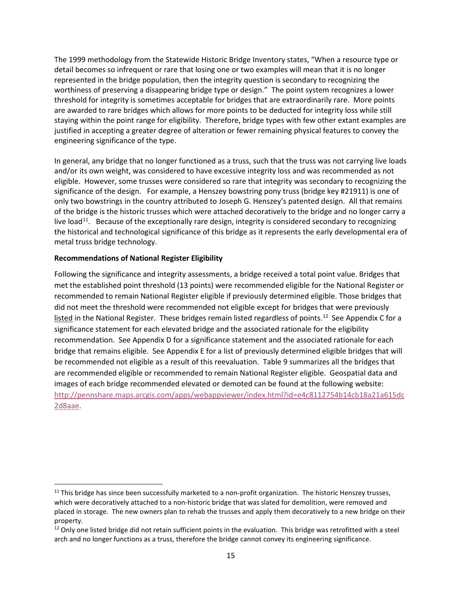The 1999 methodology from the Statewide Historic Bridge Inventory states, "When a resource type or detail becomes so infrequent or rare that losing one or two examples will mean that it is no longer represented in the bridge population, then the integrity question is secondary to recognizing the worthiness of preserving a disappearing bridge type or design." The point system recognizes a lower threshold for integrity is sometimes acceptable for bridges that are extraordinarily rare. More points are awarded to rare bridges which allows for more points to be deducted for integrity loss while still staying within the point range for eligibility. Therefore, bridge types with few other extant examples are justified in accepting a greater degree of alteration or fewer remaining physical features to convey the engineering significance of the type.

In general, any bridge that no longer functioned as a truss, such that the truss was not carrying live loads and/or its own weight, was considered to have excessive integrity loss and was recommended as not eligible. However, some trusses were considered so rare that integrity was secondary to recognizing the significance of the design. For example, a Henszey bowstring pony truss (bridge key #21911) is one of only two bowstrings in the country attributed to Joseph G. Henszey's patented design. All that remains of the bridge is the historic trusses which were attached decoratively to the bridge and no longer carry a live load<sup>11</sup>. Because of the exceptionally rare design, integrity is considered secondary to recognizing the historical and technological significance of this bridge as it represents the early developmental era of metal truss bridge technology.

## **Recommendations of National Register Eligibility**

Following the significance and integrity assessments, a bridge received a total point value. Bridges that met the established point threshold (13 points) were recommended eligible for the National Register or recommended to remain National Register eligible if previously determined eligible. Those bridges that did not meet the threshold were recommended not eligible except for bridges that were previously listed in the National Register. These bridges remain listed regardless of points.<sup>[12](#page-14-1)</sup> See Appendix C for a significance statement for each elevated bridge and the associated rationale for the eligibility recommendation. See Appendix D for a significance statement and the associated rationale for each bridge that remains eligible. See Appendix E for a list of previously determined eligible bridges that will be recommended not eligible as a result of this reevaluation. Table 9 summarizes all the bridges that are recommended eligible or recommended to remain National Register eligible. Geospatial data and images of each bridge recommended elevated or demoted can be found at the following website: [http://pennshare.maps.arcgis.com/apps/webappviewer/index.html?id=e4c8112754b14cb18a21a615dc](http://pennshare.maps.arcgis.com/apps/webappviewer/index.html?id=e4c8112754b14cb18a21a615dc2d8aae) [2d8aae.](http://pennshare.maps.arcgis.com/apps/webappviewer/index.html?id=e4c8112754b14cb18a21a615dc2d8aae)

<span id="page-14-0"></span><sup>&</sup>lt;sup>11</sup> This bridge has since been successfully marketed to a non-profit organization. The historic Henszey trusses, which were decoratively attached to a non-historic bridge that was slated for demolition, were removed and placed in storage. The new owners plan to rehab the trusses and apply them decoratively to a new bridge on their property.

<span id="page-14-1"></span> $12$  Only one listed bridge did not retain sufficient points in the evaluation. This bridge was retrofitted with a steel arch and no longer functions as a truss, therefore the bridge cannot convey its engineering significance.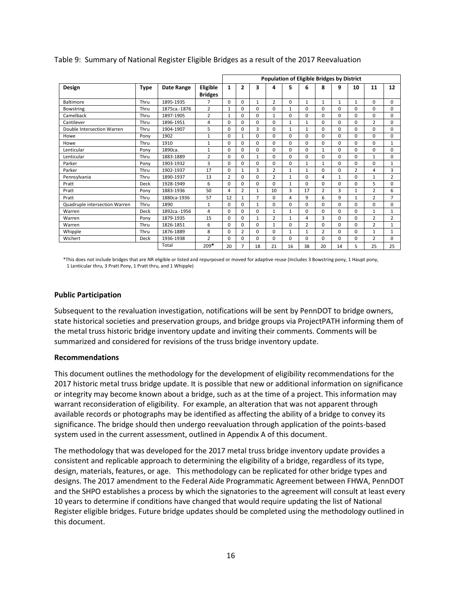|                               |             |              |                            |                |                |              | Population of Eligible Bridges by District |              |              |                |              |              |                |                |
|-------------------------------|-------------|--------------|----------------------------|----------------|----------------|--------------|--------------------------------------------|--------------|--------------|----------------|--------------|--------------|----------------|----------------|
| Design                        | <b>Type</b> | Date Range   | Eligible<br><b>Bridges</b> | $\mathbf{1}$   | $\overline{2}$ | 3            | 4                                          | 5            | 6            | 8              | 9            | 10           | 11             | 12             |
| Baltimore                     | Thru        | 1895-1935    | 7                          | $\Omega$       | 0              | $\mathbf{1}$ | $\overline{2}$                             | $\Omega$     | $\mathbf{1}$ | 1              | $\mathbf{1}$ | $\mathbf{1}$ | $\Omega$       | $\Omega$       |
| Bowstring                     | Thru        | 1875ca.-1876 | $\overline{2}$             | 1              | 0              | $\Omega$     | 0                                          | 1            | 0            | $\Omega$       | $\Omega$     | $\Omega$     | $\Omega$       | $\Omega$       |
| Camelback                     | Thru        | 1897-1905    | $\overline{2}$             | $\mathbf{1}$   | $\mathbf 0$    | $\Omega$     | $\mathbf{1}$                               | $\Omega$     | $\mathbf 0$  | $\Omega$       | $\Omega$     | $\Omega$     | $\Omega$       | $\Omega$       |
| Cantilever                    | Thru        | 1896-1951    | 4                          | 0              | 0              | $\Omega$     | 0                                          | 1            | $\mathbf{1}$ | $\Omega$       | $\Omega$     | $\Omega$     | $\overline{2}$ | $\Omega$       |
| Double Intersection Warren    | Thru        | 1904-1907    | 5                          | $\Omega$       | $\Omega$       | 3            | $\Omega$                                   | $\mathbf{1}$ | $\mathbf{1}$ | $\Omega$       | $\Omega$     | $\Omega$     | $\Omega$       | $\Omega$       |
| Howe                          | Pony        | 1902         | 1                          | $\Omega$       | $\mathbf{1}$   | $\Omega$     | 0                                          | $\Omega$     | $\Omega$     | $\Omega$       | $\Omega$     | $\Omega$     | $\Omega$       | 0              |
| Howe                          | Thru        | 1910         | 1                          | 0              | 0              | $\Omega$     | 0                                          | $\Omega$     | 0            | 0              | 0            | 0            | 0              | 1              |
| Lenticular                    | Pony        | 1890ca.      | 1                          | 0              | 0              | $\Omega$     | 0                                          | 0            | 0            | 1              | $\Omega$     | 0            | $\Omega$       | $\Omega$       |
| Lenticular                    | Thru        | 1883-1889    | $\overline{2}$             | $\Omega$       | 0              | $\mathbf{1}$ | 0                                          | $\Omega$     | 0            | $\Omega$       | $\Omega$     | $\Omega$     | $\mathbf{1}$   | $\Omega$       |
| Parker                        | Pony        | 1903-1932    | 3                          | $\Omega$       | $\mathbf 0$    | $\Omega$     | 0                                          | $\Omega$     | $\mathbf{1}$ | 1              | $\Omega$     | $\Omega$     | $\Omega$       | $\mathbf{1}$   |
| Parker                        | Thru        | 1902-1937    | 17                         | $\Omega$       | 1              | 3            | 2                                          | $\mathbf{1}$ | 1            | $\Omega$       | 0            | 2            | 4              | 3              |
| Pennsylvania                  | Thru        | 1890-1937    | 13                         | $\overline{2}$ | 0              | $\Omega$     | $\overline{2}$                             | $\mathbf{1}$ | 0            | 4              | $\mathbf{1}$ | $\Omega$     | $\mathbf{1}$   | $\overline{2}$ |
| Pratt                         | Deck        | 1928-1949    | 6                          | 0              | $\mathbf 0$    | $\Omega$     | 0                                          | 1            | 0            | 0              | 0            | $\Omega$     | 5              | $\Omega$       |
| Pratt                         | Pony        | 1883-1936    | 50                         | 4              | $\overline{2}$ | $\mathbf{1}$ | 10                                         | 3            | 17           | $\overline{2}$ | 3            | $\mathbf{1}$ | 2              | 6              |
| Pratt                         | Thru        | 1880ca-1936  | 57                         | 12             | $\mathbf{1}$   | 7            | 0                                          | 4            | 9            | 6              | 9            | $\mathbf{1}$ | $\overline{2}$ | 7              |
| Quadruple intersection Warren | Thru        | 1890         | 1                          | $\Omega$       | $\Omega$       | $\mathbf{1}$ | 0                                          | $\Omega$     | 0            | 0              | $\Omega$     | <sup>o</sup> | $\Omega$       | 0              |
| Warren                        | Deck        | 1892ca.-1956 | 4                          | $\Omega$       | 0              | $\Omega$     | $\mathbf{1}$                               | $\mathbf{1}$ | 0            | 0              | $\Omega$     | $\Omega$     | 1              | 1              |
| Warren                        | Pony        | 1879-1935    | 15                         | $\Omega$       | 0              | 1            | 2                                          | $\mathbf{1}$ | 4            | 3              | 0            | $\Omega$     | 2              | $\overline{2}$ |
| Warren                        | Thru        | 1826-1851    | 6                          | 0              | 0              | $\Omega$     | $\mathbf{1}$                               | $\Omega$     | 2            | 0              | $\Omega$     | $\Omega$     | 2              | $\mathbf{1}$   |
| Whipple                       | Thru        | 1876-1889    | 8                          | 0              | $\overline{2}$ | $\Omega$     | 0                                          | 1            | $\mathbf{1}$ | 2              | $\Omega$     | $\Omega$     | $\mathbf{1}$   | 1              |
| Wichert                       | Deck        | 1936-1938    | $\overline{2}$             | 0              | 0              | 0            | $\Omega$                                   | 0            | 0            | 0              | $\Omega$     | $\Omega$     | 2              | $\Omega$       |
|                               |             | Total        | $209*$                     | 20             | $\overline{7}$ | 18           | 21                                         | 16           | 38           | 20             | 14           | 5            | 25             | 25             |

Table 9: Summary of National Register Eligible Bridges as a result of the 2017 Reevaluation

\*This does not include bridges that are NR eligible or listed and repurposed or moved for adaptive reuse (Includes 3 Bowstring pony, 1 Haupt pony, 1 Lenticular thru, 3 Pratt Pony, 1 Pratt thru, and 1 Whipple)

## **Public Participation**

Subsequent to the revaluation investigation, notifications will be sent by PennDOT to bridge owners, state historical societies and preservation groups, and bridge groups via ProjectPATH informing them of the metal truss historic bridge inventory update and inviting their comments. Comments will be summarized and considered for revisions of the truss bridge inventory update.

#### **Recommendations**

This document outlines the methodology for the development of eligibility recommendations for the 2017 historic metal truss bridge update. It is possible that new or additional information on significance or integrity may become known about a bridge, such as at the time of a project. This information may warrant reconsideration of eligibility. For example, an alteration that was not apparent through available records or photographs may be identified as affecting the ability of a bridge to convey its significance. The bridge should then undergo reevaluation through application of the points-based system used in the current assessment, outlined in Appendix A of this document.

The methodology that was developed for the 2017 metal truss bridge inventory update provides a consistent and replicable approach to determining the eligibility of a bridge, regardless of its type, design, materials, features, or age. This methodology can be replicated for other bridge types and designs. The 2017 amendment to the Federal Aide Programmatic Agreement between FHWA, PennDOT and the SHPO establishes a process by which the signatories to the agreement will consult at least every 10 years to determine if conditions have changed that would require updating the list of National Register eligible bridges. Future bridge updates should be completed using the methodology outlined in this document.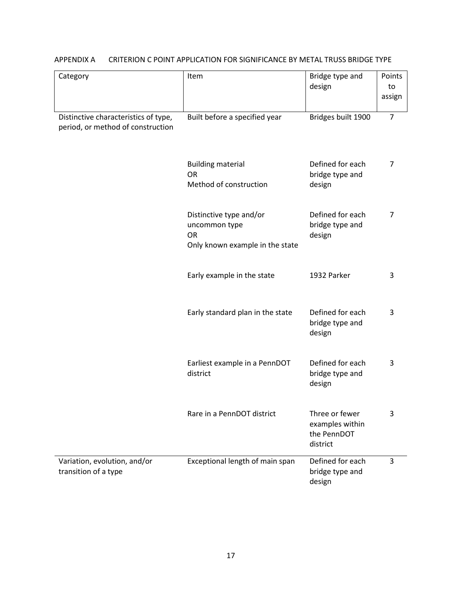| Category                                                                  | Item                                                                                     | Bridge type and<br>design                                    | Points<br>to<br>assign |
|---------------------------------------------------------------------------|------------------------------------------------------------------------------------------|--------------------------------------------------------------|------------------------|
| Distinctive characteristics of type,<br>period, or method of construction | Built before a specified year                                                            | Bridges built 1900                                           | $\overline{7}$         |
|                                                                           | <b>Building material</b><br><b>OR</b><br>Method of construction                          | Defined for each<br>bridge type and<br>design                | 7                      |
|                                                                           | Distinctive type and/or<br>uncommon type<br><b>OR</b><br>Only known example in the state | Defined for each<br>bridge type and<br>design                | 7                      |
|                                                                           | Early example in the state                                                               | 1932 Parker                                                  | 3                      |
|                                                                           | Early standard plan in the state                                                         | Defined for each<br>bridge type and<br>design                | 3                      |
|                                                                           | Earliest example in a PennDOT<br>district                                                | Defined for each<br>bridge type and<br>design                | 3                      |
|                                                                           | Rare in a PennDOT district                                                               | Three or fewer<br>examples within<br>the PennDOT<br>district | 3                      |
| Variation, evolution, and/or<br>transition of a type                      | Exceptional length of main span                                                          | Defined for each<br>bridge type and<br>design                | 3                      |

# APPENDIX A CRITERION C POINT APPLICATION FOR SIGNIFICANCE BY METAL TRUSS BRIDGE TYPE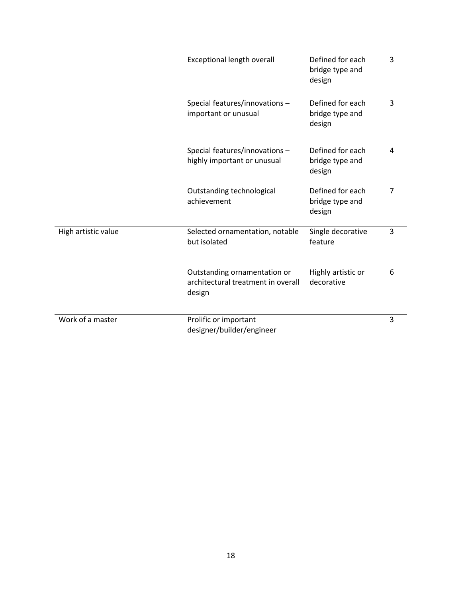|                     | <b>Exceptional length overall</b>                                            | Defined for each<br>bridge type and<br>design | 3 |
|---------------------|------------------------------------------------------------------------------|-----------------------------------------------|---|
|                     | Special features/innovations -<br>important or unusual                       | Defined for each<br>bridge type and<br>design | 3 |
|                     | Special features/innovations -<br>highly important or unusual                | Defined for each<br>bridge type and<br>design | 4 |
|                     | Outstanding technological<br>achievement                                     | Defined for each<br>bridge type and<br>design | 7 |
| High artistic value | Selected ornamentation, notable<br>but isolated                              | Single decorative<br>feature                  | 3 |
|                     | Outstanding ornamentation or<br>architectural treatment in overall<br>design | Highly artistic or<br>decorative              | 6 |
| Work of a master    | Prolific or important<br>designer/builder/engineer                           |                                               | 3 |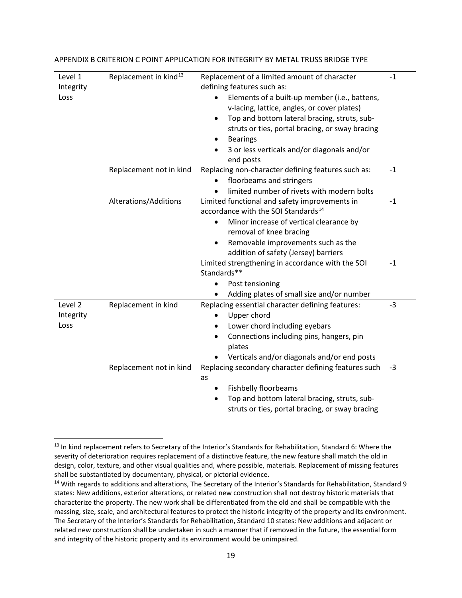| Level 1<br>Integrity<br>Loss | Replacement in kind <sup>13</sup> | Replacement of a limited amount of character<br>defining features such as:<br>Elements of a built-up member (i.e., battens,<br>v-lacing, lattice, angles, or cover plates)<br>Top and bottom lateral bracing, struts, sub-<br>$\bullet$<br>struts or ties, portal bracing, or sway bracing<br><b>Bearings</b><br>$\bullet$<br>3 or less verticals and/or diagonals and/or<br>$\bullet$<br>end posts | $-1$ |
|------------------------------|-----------------------------------|-----------------------------------------------------------------------------------------------------------------------------------------------------------------------------------------------------------------------------------------------------------------------------------------------------------------------------------------------------------------------------------------------------|------|
|                              | Replacement not in kind           | Replacing non-character defining features such as:<br>floorbeams and stringers<br>limited number of rivets with modern bolts<br>$\bullet$                                                                                                                                                                                                                                                           | $-1$ |
|                              | Alterations/Additions             | Limited functional and safety improvements in<br>accordance with the SOI Standards <sup>14</sup><br>Minor increase of vertical clearance by<br>$\bullet$<br>removal of knee bracing<br>Removable improvements such as the<br>٠<br>addition of safety (Jersey) barriers                                                                                                                              | $-1$ |
|                              |                                   | Limited strengthening in accordance with the SOI<br>Standards**<br>Post tensioning<br>$\bullet$<br>Adding plates of small size and/or number                                                                                                                                                                                                                                                        | $-1$ |
| Level 2<br>Integrity<br>Loss | Replacement in kind               | Replacing essential character defining features:<br>Upper chord<br>$\bullet$<br>Lower chord including eyebars<br>$\bullet$<br>Connections including pins, hangers, pin<br>٠<br>plates<br>Verticals and/or diagonals and/or end posts                                                                                                                                                                | $-3$ |
|                              | Replacement not in kind           | Replacing secondary character defining features such<br>as<br><b>Fishbelly floorbeams</b><br>$\bullet$<br>Top and bottom lateral bracing, struts, sub-<br>struts or ties, portal bracing, or sway bracing                                                                                                                                                                                           | -3   |

## APPENDIX B CRITERION C POINT APPLICATION FOR INTEGRITY BY METAL TRUSS BRIDGE TYPE

<span id="page-18-0"></span><sup>&</sup>lt;sup>13</sup> In kind replacement refers to Secretary of the Interior's Standards for Rehabilitation, Standard 6: Where the severity of deterioration requires replacement of a distinctive feature, the new feature shall match the old in design, color, texture, and other visual qualities and, where possible, materials. Replacement of missing features shall be substantiated by documentary, physical, or pictorial evidence.

<span id="page-18-1"></span><sup>&</sup>lt;sup>14</sup> With regards to additions and alterations, The Secretary of the Interior's Standards for Rehabilitation, Standard 9 states: New additions, exterior alterations, or related new construction shall not destroy historic materials that characterize the property. The new work shall be differentiated from the old and shall be compatible with the massing, size, scale, and architectural features to protect the historic integrity of the property and its environment. The Secretary of the Interior's Standards for Rehabilitation, Standard 10 states: New additions and adjacent or related new construction shall be undertaken in such a manner that if removed in the future, the essential form and integrity of the historic property and its environment would be unimpaired.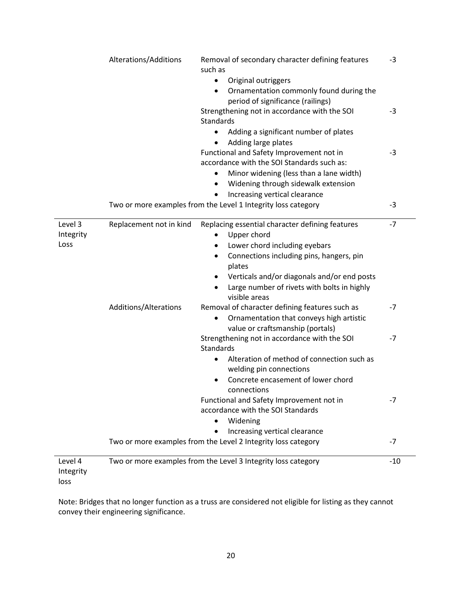|                              | Alterations/Additions   | Removal of secondary character defining features<br>such as                                                                                                                                                                                                                                      | $-3$         |
|------------------------------|-------------------------|--------------------------------------------------------------------------------------------------------------------------------------------------------------------------------------------------------------------------------------------------------------------------------------------------|--------------|
|                              |                         | Original outriggers<br>٠<br>Ornamentation commonly found during the<br>٠<br>period of significance (railings)<br>Strengthening not in accordance with the SOI<br>Standards                                                                                                                       | $-3$         |
|                              |                         | Adding a significant number of plates<br>Adding large plates<br>Functional and Safety Improvement not in<br>accordance with the SOI Standards such as:<br>Minor widening (less than a lane width)<br>$\bullet$                                                                                   | $-3$         |
|                              |                         | Widening through sidewalk extension<br>$\bullet$<br>Increasing vertical clearance                                                                                                                                                                                                                |              |
|                              |                         | Two or more examples from the Level 1 Integrity loss category                                                                                                                                                                                                                                    | -3           |
| Level 3<br>Integrity<br>Loss | Replacement not in kind | Replacing essential character defining features<br>Upper chord<br>٠<br>Lower chord including eyebars<br>Connections including pins, hangers, pin<br>٠<br>plates<br>Verticals and/or diagonals and/or end posts<br>٠<br>Large number of rivets with bolts in highly<br>$\bullet$<br>visible areas | $-7$         |
|                              | Additions/Alterations   | Removal of character defining features such as<br>Ornamentation that conveys high artistic<br>value or craftsmanship (portals)<br>Strengthening not in accordance with the SOI                                                                                                                   | $-7$<br>$-7$ |
|                              |                         | Standards<br>Alteration of method of connection such as<br>$\bullet$<br>welding pin connections<br>Concrete encasement of lower chord<br>connections                                                                                                                                             |              |
|                              |                         | Functional and Safety Improvement not in<br>accordance with the SOI Standards<br>Widening<br>Increasing vertical clearance                                                                                                                                                                       | $-7$         |
|                              |                         | Two or more examples from the Level 2 Integrity loss category                                                                                                                                                                                                                                    | -7           |
| Level 4<br>Integrity         |                         | Two or more examples from the Level 3 Integrity loss category                                                                                                                                                                                                                                    | $-10$        |

loss

Note: Bridges that no longer function as a truss are considered not eligible for listing as they cannot convey their engineering significance.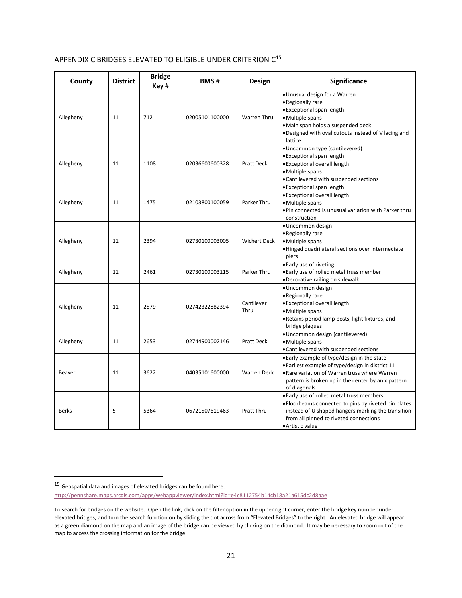# APPENDIX C BRIDGES ELEVATED TO ELIGIBLE UNDER CRITERION C[15](#page-20-0)

| County       | <b>District</b> | <b>Bridge</b><br>Key# | <b>BMS#</b>    | Design              | Significance                                                                                                                                                                                                           |
|--------------|-----------------|-----------------------|----------------|---------------------|------------------------------------------------------------------------------------------------------------------------------------------------------------------------------------------------------------------------|
| Allegheny    | 11              | 712                   | 02005101100000 | <b>Warren Thru</b>  | · Unusual design for a Warren<br>• Regionally rare<br>· Exceptional span length<br>· Multiple spans<br>· Main span holds a suspended deck<br>. Designed with oval cutouts instead of V lacing and<br>lattice           |
| Allegheny    | 11              | 1108                  | 02036600600328 | <b>Pratt Deck</b>   | · Uncommon type (cantilevered)<br>• Exceptional span length<br>• Exceptional overall length<br>· Multiple spans<br>• Cantilevered with suspended sections                                                              |
| Allegheny    | 11              | 1475                  | 02103800100059 | Parker Thru         | • Exceptional span length<br>• Exceptional overall length<br>• Multiple spans<br>. Pin connected is unusual variation with Parker thru<br>construction                                                                 |
| Allegheny    | 11              | 2394                  | 02730100003005 | <b>Wichert Deck</b> | · Uncommon design<br>• Regionally rare<br>·Multiple spans<br>· Hinged quadrilateral sections over intermediate<br>piers                                                                                                |
| Allegheny    | 11              | 2461                  | 02730100003115 | Parker Thru         | • Early use of riveting<br>· Early use of rolled metal truss member<br>· Decorative railing on sidewalk                                                                                                                |
| Allegheny    | 11              | 2579                  | 02742322882394 | Cantilever<br>Thru  | · Uncommon design<br>• Regionally rare<br>• Exceptional overall length<br>· Multiple spans<br>. Retains period lamp posts, light fixtures, and<br>bridge plaques                                                       |
| Allegheny    | 11              | 2653                  | 02744900002146 | <b>Pratt Deck</b>   | · Uncommon design (cantilevered)<br>· Multiple spans<br>• Cantilevered with suspended sections                                                                                                                         |
| Beaver       | 11              | 3622                  | 04035101600000 | <b>Warren Deck</b>  | . Early example of type/design in the state<br>· Earliest example of type/design in district 11<br>. Rare variation of Warren truss where Warren<br>pattern is broken up in the center by an x pattern<br>of diagonals |
| <b>Berks</b> | 5               | 5364                  | 06721507619463 | <b>Pratt Thru</b>   | . Early use of rolled metal truss members<br>. Floorbeams connected to pins by riveted pin plates<br>instead of U shaped hangers marking the transition<br>from all pinned to riveted connections<br>· Artistic value  |

<span id="page-20-0"></span> $^{15}$  Geospatial data and images of elevated bridges can be found here:

<http://pennshare.maps.arcgis.com/apps/webappviewer/index.html?id=e4c8112754b14cb18a21a615dc2d8aae>

To search for bridges on the website: Open the link, click on the filter option in the upper right corner, enter the bridge key number under elevated bridges, and turn the search function on by sliding the dot across from "Elevated Bridges" to the right. An elevated bridge will appear as a green diamond on the map and an image of the bridge can be viewed by clicking on the diamond. It may be necessary to zoom out of the map to access the crossing information for the bridge.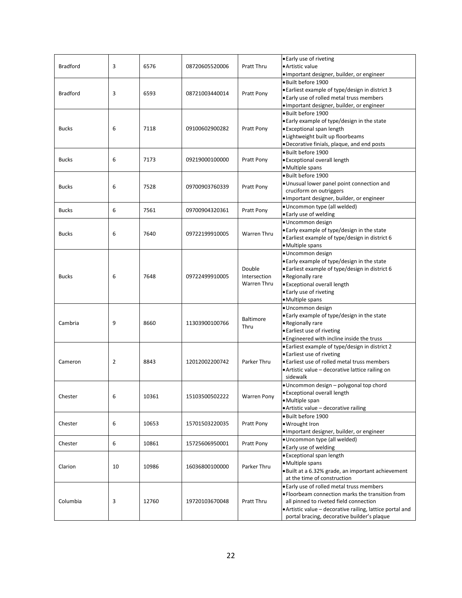| <b>Bradford</b> | 3              | 6576  | 08720605520006 | Pratt Thru                            | • Early use of riveting<br>· Artistic value<br>· Important designer, builder, or engineer                                                                                                                                                           |
|-----------------|----------------|-------|----------------|---------------------------------------|-----------------------------------------------------------------------------------------------------------------------------------------------------------------------------------------------------------------------------------------------------|
| <b>Bradford</b> | 3              | 6593  | 08721003440014 | Pratt Pony                            | · Built before 1900<br>• Earliest example of type/design in district 3<br>. Early use of rolled metal truss members<br>· Important designer, builder, or engineer                                                                                   |
| <b>Bucks</b>    | 6              | 7118  | 09100602900282 | Pratt Pony                            | · Built before 1900<br>. Early example of type/design in the state<br>• Exceptional span length<br>. Lightweight built up floorbeams<br>. Decorative finials, plaque, and end posts                                                                 |
| <b>Bucks</b>    | 6              | 7173  | 09219000100000 | Pratt Pony                            | • Built before 1900<br>· Exceptional overall length<br>• Multiple spans                                                                                                                                                                             |
| <b>Bucks</b>    | 6              | 7528  | 09700903760339 | Pratt Pony                            | · Built before 1900<br>. Unusual lower panel point connection and<br>cruciform on outriggers<br>· Important designer, builder, or engineer                                                                                                          |
| <b>Bucks</b>    | 6              | 7561  | 09700904320361 | Pratt Pony                            | • Uncommon type (all welded)<br>• Early use of welding                                                                                                                                                                                              |
| <b>Bucks</b>    | 6              | 7640  | 09722199910005 | <b>Warren Thru</b>                    | · Uncommon design<br>. Early example of type/design in the state<br>• Earliest example of type/design in district 6<br>· Multiple spans                                                                                                             |
| <b>Bucks</b>    | 6              | 7648  | 09722499910005 | Double<br>Intersection<br>Warren Thru | · Uncommon design<br>. Early example of type/design in the state<br>• Earliest example of type/design in district 6<br>• Regionally rare<br>• Exceptional overall length<br>• Early use of riveting<br>· Multiple spans                             |
| Cambria         | 9              | 8660  | 11303900100766 | Baltimore<br>Thru                     | · Uncommon design<br>. Early example of type/design in the state<br>• Regionally rare<br>• Earliest use of riveting<br>. Engineered with incline inside the truss                                                                                   |
| Cameron         | $\overline{2}$ | 8843  | 12012002200742 | Parker Thru                           | • Earliest example of type/design in district 2<br>• Earliest use of riveting<br>. Earliest use of rolled metal truss members<br>• Artistic value – decorative lattice railing on<br>sidewalk                                                       |
| Chester         | 6              | 10361 | 15103500502222 | <b>Warren Pony</b>                    | · Uncommon design - polygonal top chord<br>· Exceptional overall length<br>• Multiple span<br>• Artistic value - decorative railing                                                                                                                 |
| Chester         | 6              | 10653 | 15701503220035 | Pratt Pony                            | · Built before 1900<br>. Wrought Iron<br>· Important designer, builder, or engineer                                                                                                                                                                 |
| Chester         | 6              | 10861 | 15725606950001 | Pratt Pony                            | · Uncommon type (all welded)<br>• Early use of welding                                                                                                                                                                                              |
| Clarion         | 10             | 10986 | 16036800100000 | Parker Thru                           | • Exceptional span length<br>• Multiple spans<br>· Built at a 6.32% grade, an important achievement<br>at the time of construction                                                                                                                  |
| Columbia        | 3              | 12760 | 19720103670048 | Pratt Thru                            | . Early use of rolled metal truss members<br>. Floorbeam connection marks the transition from<br>all pinned to riveted field connection<br>• Artistic value - decorative railing, lattice portal and<br>portal bracing, decorative builder's plaque |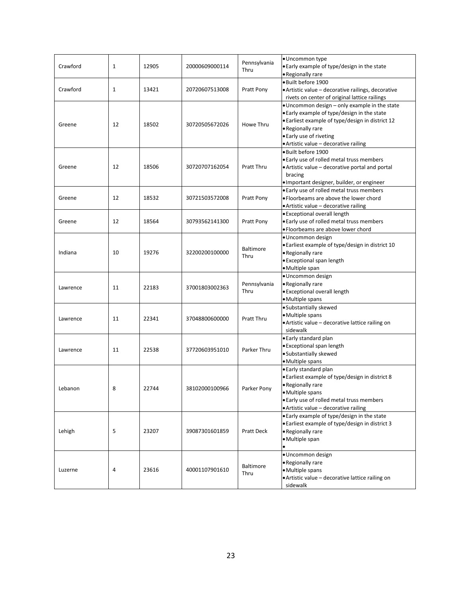| Crawford | 1            | 12905 | 20000609000114 | Pennsylvania<br>Thru     | • Uncommon type<br>. Early example of type/design in the state<br>• Regionally rare                                                                                                                                                       |
|----------|--------------|-------|----------------|--------------------------|-------------------------------------------------------------------------------------------------------------------------------------------------------------------------------------------------------------------------------------------|
| Crawford | $\mathbf{1}$ | 13421 | 20720607513008 | Pratt Pony               | · Built before 1900<br>• Artistic value - decorative railings, decorative<br>rivets on center of original lattice railings                                                                                                                |
| Greene   | 12           | 18502 | 30720505672026 | Howe Thru                | . Uncommon design - only example in the state<br>. Early example of type/design in the state<br>• Earliest example of type/design in district 12<br>• Regionally rare<br>• Early use of riveting<br>• Artistic value - decorative railing |
| Greene   | 12           | 18506 | 30720707162054 | <b>Pratt Thru</b>        | · Built before 1900<br>. Early use of rolled metal truss members<br>• Artistic value - decorative portal and portal<br>bracing<br>· Important designer, builder, or engineer                                                              |
| Greene   | 12           | 18532 | 30721503572008 | Pratt Pony               | . Early use of rolled metal truss members<br>. Floorbeams are above the lower chord<br>• Artistic value - decorative railing                                                                                                              |
| Greene   | 12           | 18564 | 30793562141300 | Pratt Pony               | • Exceptional overall length<br>. Early use of rolled metal truss members<br>· Floorbeams are above lower chord                                                                                                                           |
| Indiana  | 10           | 19276 | 32200200100000 | <b>Baltimore</b><br>Thru | · Uncommon design<br>• Earliest example of type/design in district 10<br>• Regionally rare<br>• Exceptional span length<br>• Multiple span                                                                                                |
| Lawrence | 11           | 22183 | 37001803002363 | Pennsylvania<br>Thru     | · Uncommon design<br>• Regionally rare<br>• Exceptional overall length<br>• Multiple spans                                                                                                                                                |
| Lawrence | 11           | 22341 | 37048800600000 | Pratt Thru               | ·Substantially skewed<br>• Multiple spans<br>• Artistic value - decorative lattice railing on<br>sidewalk                                                                                                                                 |
| Lawrence | 11           | 22538 | 37720603951010 | Parker Thru              | • Early standard plan<br>• Exceptional span length<br>· Substantially skewed<br>• Multiple spans                                                                                                                                          |
| Lebanon  | 8            | 22744 | 38102000100966 | Parker Pony              | • Early standard plan<br>• Earliest example of type/design in district 8<br>• Regionally rare<br>· Multiple spans<br>. Early use of rolled metal truss members<br>· Artistic value - decorative railing                                   |
| Lehigh   | 5            | 23207 | 39087301601859 | <b>Pratt Deck</b>        | . Early example of type/design in the state<br>• Earliest example of type/design in district 3<br>• Regionally rare<br>· Multiple span                                                                                                    |
| Luzerne  | 4            | 23616 | 40001107901610 | Baltimore<br>Thru        | · Uncommon design<br>• Regionally rare<br>· Multiple spans<br>• Artistic value - decorative lattice railing on<br>sidewalk                                                                                                                |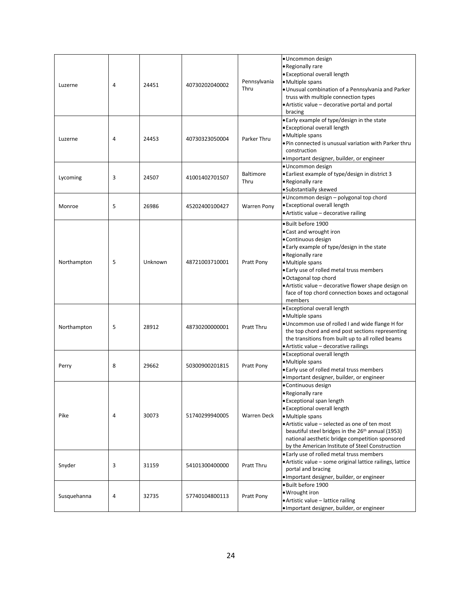| Luzerne     | 4              | 24451   | 40730202040002 | Pennsylvania<br>Thru     | · Uncommon design<br>• Regionally rare<br>· Exceptional overall length<br>· Multiple spans<br>· Unusual combination of a Pennsylvania and Parker<br>truss with multiple connection types<br>• Artistic value - decorative portal and portal<br>bracing                                                                                                     |
|-------------|----------------|---------|----------------|--------------------------|------------------------------------------------------------------------------------------------------------------------------------------------------------------------------------------------------------------------------------------------------------------------------------------------------------------------------------------------------------|
| Luzerne     | 4              | 24453   | 40730323050004 | Parker Thru              | . Early example of type/design in the state<br>· Exceptional overall length<br>• Multiple spans<br>. Pin connected is unusual variation with Parker thru<br>construction<br>. Important designer, builder, or engineer                                                                                                                                     |
| Lycoming    | 3              | 24507   | 41001402701507 | <b>Baltimore</b><br>Thru | · Uncommon design<br>• Earliest example of type/design in district 3<br>• Regionally rare<br>· Substantially skewed                                                                                                                                                                                                                                        |
| Monroe      | 5              | 26986   | 45202400100427 | <b>Warren Pony</b>       | · Uncommon design - polygonal top chord<br>· Exceptional overall length<br>• Artistic value - decorative railing                                                                                                                                                                                                                                           |
| Northampton | 5              | Unknown | 48721003710001 | Pratt Pony               | · Built before 1900<br>. Cast and wrought iron<br>· Continuous design<br>. Early example of type/design in the state<br>• Regionally rare<br>· Multiple spans<br>. Early use of rolled metal truss members<br>• Octagonal top chord<br>• Artistic value - decorative flower shape design on<br>face of top chord connection boxes and octagonal<br>members |
| Northampton | 5              | 28912   | 48730200000001 | Pratt Thru               | • Exceptional overall length<br>• Multiple spans<br>. Uncommon use of rolled I and wide flange H for<br>the top chord and end post sections representing<br>the transitions from built up to all rolled beams<br>• Artistic value - decorative railings                                                                                                    |
| Perry       | 8              | 29662   | 50300900201815 | Pratt Pony               | · Exceptional overall length<br>· Multiple spans<br>. Early use of rolled metal truss members<br>· Important designer, builder, or engineer                                                                                                                                                                                                                |
| Pike        | 4              | 30073   | 51740299940005 | Warren Deck              | • Continuous design<br>• Regionally rare<br>• Exceptional span length<br>· Exceptional overall length<br>· Multiple spans<br>• Artistic value - selected as one of ten most<br>beautiful steel bridges in the 26 <sup>th</sup> annual (1953)<br>national aesthetic bridge competition sponsored<br>by the American Institute of Steel Construction         |
| Snyder      | 3              | 31159   | 54101300400000 | Pratt Thru               | . Early use of rolled metal truss members<br>· Artistic value - some original lattice railings, lattice<br>portal and bracing<br>· Important designer, builder, or engineer                                                                                                                                                                                |
| Susquehanna | $\overline{4}$ | 32735   | 57740104800113 | Pratt Pony               | . Built before 1900<br>• Wrought iron<br>• Artistic value - lattice railing<br>· Important designer, builder, or engineer                                                                                                                                                                                                                                  |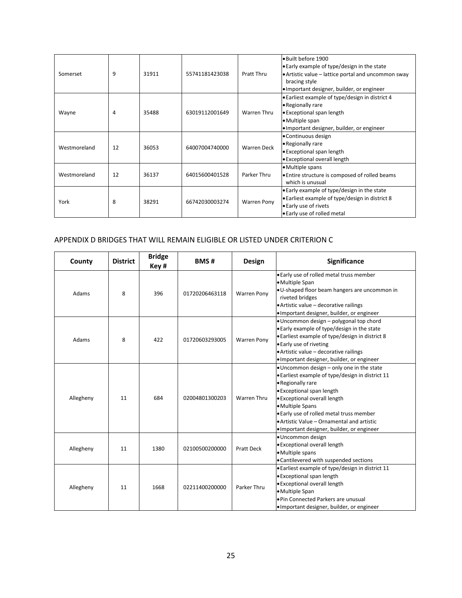| Somerset     | 9  | 31911 | 55741181423038 | Pratt Thru         | . Built before 1900<br>• Early example of type/design in the state<br>• Artistic value – lattice portal and uncommon sway<br>bracing style<br>. Important designer, builder, or engineer |
|--------------|----|-------|----------------|--------------------|------------------------------------------------------------------------------------------------------------------------------------------------------------------------------------------|
| Wayne        | 4  | 35488 | 63019112001649 | Warren Thru        | • Earliest example of type/design in district 4<br>• Regionally rare<br>• Exceptional span length<br>• Multiple span<br>. Important designer, builder, or engineer                       |
| Westmoreland | 12 | 36053 | 64007004740000 | <b>Warren Deck</b> | • Continuous design<br>• Regionally rare<br>• Exceptional span length<br>• Exceptional overall length                                                                                    |
| Westmoreland | 12 | 36137 | 64015600401528 | Parker Thru        | • Multiple spans<br>. Entire structure is composed of rolled beams<br>which is unusual                                                                                                   |
| York         | 8  | 38291 | 66742030003274 | <b>Warren Pony</b> | • Early example of type/design in the state<br>. Earliest example of type/design in district 8<br>• Early use of rivets<br>• Early use of rolled metal                                   |

# APPENDIX D BRIDGES THAT WILL REMAIN ELIGIBLE OR LISTED UNDER CRITERION C

| County    | <b>District</b> | <b>Bridge</b><br>Key# | <b>BMS#</b>    | Design             | Significance                                                                                                                                                                                                                                                                                                                                |
|-----------|-----------------|-----------------------|----------------|--------------------|---------------------------------------------------------------------------------------------------------------------------------------------------------------------------------------------------------------------------------------------------------------------------------------------------------------------------------------------|
| Adams     | 8               | 396                   | 01720206463118 | <b>Warren Pony</b> | . Early use of rolled metal truss member<br>· Multiple Span<br>. U-shaped floor beam hangers are uncommon in<br>riveted bridges<br>• Artistic value - decorative railings<br>· Important designer, builder, or engineer                                                                                                                     |
| Adams     | 8               | 422                   | 01720603293005 | Warren Pony        | · Uncommon design - polygonal top chord<br>• Early example of type/design in the state<br>• Earliest example of type/design in district 8<br>• Early use of riveting<br>• Artistic value - decorative railings<br>· Important designer, builder, or engineer                                                                                |
| Allegheny | 11              | 684                   | 02004801300203 | Warren Thru        | . Uncommon design - only one in the state<br>• Earliest example of type/design in district 11<br>· Regionally rare<br>• Exceptional span length<br>· Exceptional overall length<br>· Multiple Spans<br>. Early use of rolled metal truss member<br>• Artistic Value – Ornamental and artistic<br>· Important designer, builder, or engineer |
| Allegheny | 11              | 1380                  | 02100500200000 | <b>Pratt Deck</b>  | · Uncommon design<br>· Exceptional overall length<br>· Multiple spans<br>• Cantilevered with suspended sections                                                                                                                                                                                                                             |
| Allegheny | 11              | 1668                  | 02211400200000 | Parker Thru        | • Earliest example of type/design in district 11<br>· Exceptional span length<br>· Exceptional overall length<br>· Multiple Span<br>. Pin Connected Parkers are unusual<br>. Important designer, builder, or engineer                                                                                                                       |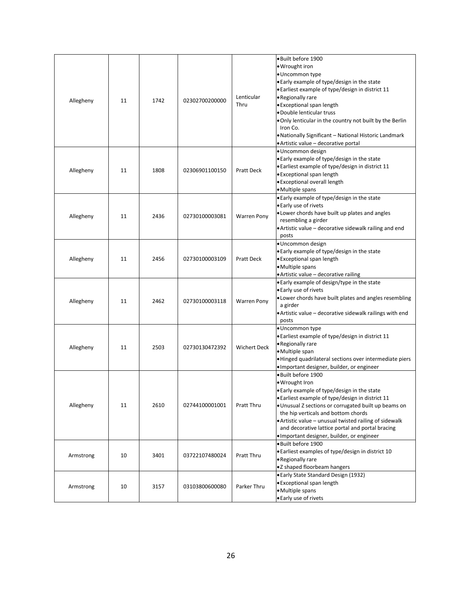| Allegheny | 11 | 1742 | 02302700200000 | Lenticular<br>Thru  | · Built before 1900<br>• Wrought iron<br>· Uncommon type<br>. Early example of type/design in the state<br>• Earliest example of type/design in district 11<br>• Regionally rare<br>• Exceptional span length<br>· Double lenticular truss<br>. Only lenticular in the country not built by the Berlin<br>Iron Co.<br>. Nationally Significant - National Historic Landmark<br>· Artistic value - decorative portal |
|-----------|----|------|----------------|---------------------|---------------------------------------------------------------------------------------------------------------------------------------------------------------------------------------------------------------------------------------------------------------------------------------------------------------------------------------------------------------------------------------------------------------------|
| Allegheny | 11 | 1808 | 02306901100150 | Pratt Deck          | · Uncommon design<br>. Early example of type/design in the state<br>• Earliest example of type/design in district 11<br>• Exceptional span length<br>· Exceptional overall length<br>• Multiple spans                                                                                                                                                                                                               |
| Allegheny | 11 | 2436 | 02730100003081 | <b>Warren Pony</b>  | • Early example of type/design in the state<br>• Early use of rivets<br>. Lower chords have built up plates and angles<br>resembling a girder<br>• Artistic value - decorative sidewalk railing and end<br>posts                                                                                                                                                                                                    |
| Allegheny | 11 | 2456 | 02730100003109 | Pratt Deck          | · Uncommon design<br>. Early example of type/design in the state<br>• Exceptional span length<br>· Multiple spans<br>• Artistic value - decorative railing                                                                                                                                                                                                                                                          |
| Allegheny | 11 | 2462 | 02730100003118 | <b>Warren Pony</b>  | . Early example of design/type in the state<br>• Early use of rivets<br>. Lower chords have built plates and angles resembling<br>a girder<br>• Artistic value - decorative sidewalk railings with end<br>posts                                                                                                                                                                                                     |
| Allegheny | 11 | 2503 | 02730130472392 | <b>Wichert Deck</b> | · Uncommon type<br>• Earliest example of type/design in district 11<br>• Regionally rare<br>· Multiple span<br>· Hinged quadrilateral sections over intermediate piers<br>· Important designer, builder, or engineer                                                                                                                                                                                                |
| Allegheny | 11 | 2610 | 02744100001001 | <b>Pratt Thru</b>   | · Built before 1900<br>• Wrought Iron<br>• Early example of type/design in the state<br>• Earliest example of type/design in district 11<br>. Unusual Z sections or corrugated built up beams on<br>the hip verticals and bottom chords<br>• Artistic value - unusual twisted railing of sidewalk<br>and decorative lattice portal and portal bracing<br>· Important designer, builder, or engineer                 |
| Armstrong | 10 | 3401 | 03722107480024 | Pratt Thru          | · Built before 1900<br>• Earliest examples of type/design in district 10<br>• Regionally rare<br>•Z shaped floorbeam hangers                                                                                                                                                                                                                                                                                        |
| Armstrong | 10 | 3157 | 03103800600080 | Parker Thru         | • Early State Standard Design (1932)<br>• Exceptional span length<br>· Multiple spans<br>• Early use of rivets                                                                                                                                                                                                                                                                                                      |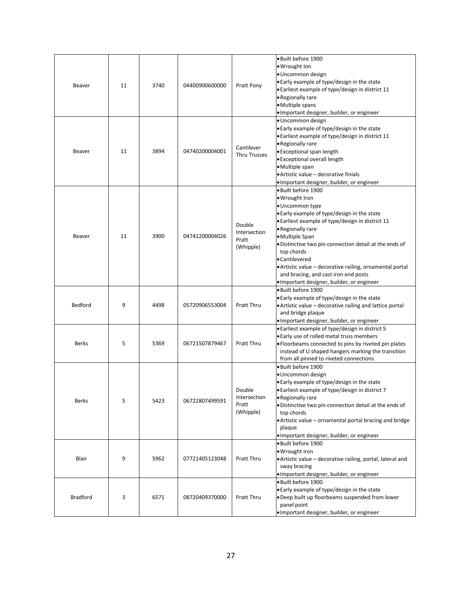| Beaver          | 11 | 3740 | 04400900600000 | Pratt Pony                                   | · Built before 1900<br>· Wrought Ion<br>· Uncommon design<br>• Early example of type/design in the state<br>• Earliest example of type/design in district 11<br>• Regionally rare<br>· Multiple spans<br>· Important designer, builder, or engineer                                                                                                                                                                                             |
|-----------------|----|------|----------------|----------------------------------------------|-------------------------------------------------------------------------------------------------------------------------------------------------------------------------------------------------------------------------------------------------------------------------------------------------------------------------------------------------------------------------------------------------------------------------------------------------|
| Beaver          | 11 | 3894 | 04740200004001 | Cantilever<br><b>Thru Trusses</b>            | · Uncommon design<br>• Early example of type/design in the state<br>· Earliest example of type/design in district 11<br>· Regionally rare<br>· Exceptional span length<br>· Exceptional overall length<br>· Multiple span<br>• Artistic value - decorative finials<br>· Important designer, builder, or engineer                                                                                                                                |
| Beaver          | 11 | 3900 | 04741200004026 | Double<br>Intersection<br>Pratt<br>(Whipple) | · Built before 1900<br>· Wrought Iron<br>· Uncommon type<br>. Early example of type/design in the state<br>• Earliest example of type/design in district 11<br>• Regionally rare<br>• Multiple Span<br>. Distinctive two pin connection detail at the ends of<br>top chords<br>• Cantilevered<br>· Artistic value - decorative railing, ornamental portal<br>and bracing, and cast iron end posts<br>• Important designer, builder, or engineer |
| Bedford         | 9  | 4498 | 05720906553004 | <b>Pratt Thru</b>                            | · Built before 1900<br>• Early example of type/design in the state<br>• Artistic value - decorative railing and lattice portal<br>and bridge plaque<br>· Important designer, builder, or engineer                                                                                                                                                                                                                                               |
| <b>Berks</b>    | 5  | 5369 | 06721507879467 | Pratt Thru                                   | • Earliest example of type/design in district 5<br>• Early use of rolled metal truss members<br>. Floorbeams connected to pins by riveted pin plates<br>instead of U shaped hangers marking the transition<br>from all pinned to riveted connections                                                                                                                                                                                            |
| <b>Berks</b>    | 5  | 5423 | 06722807499591 | Double<br>Intersection<br>Pratt<br>(Whipple) | · Built before 1900<br>· Uncommon design<br>. Early example of type/design in the state<br>• Earliest example of type/design in district 7<br>· Regionally rare<br>· Distinctive two pin connection detail at the ends of<br>top chords<br>• Artistic value – ornamental portal bracing and bridge<br>plaque<br>· Important designer, builder, or engineer                                                                                      |
| Blair           | 9  | 5962 | 07721405123048 | Pratt Thru                                   | · Built before 1900<br>• Wrought iron<br>• Artistic value – decorative railing, portal, lateral and<br>sway bracing<br>• Important designer, builder, or engineer                                                                                                                                                                                                                                                                               |
| <b>Bradford</b> | 3  | 6571 | 08720409370000 | Pratt Thru                                   | · Built before 1900<br>• Early example of type/design in the state<br>. Deep built up floorbeams suspended from lower<br>panel point<br>· Important designer, builder, or engineer                                                                                                                                                                                                                                                              |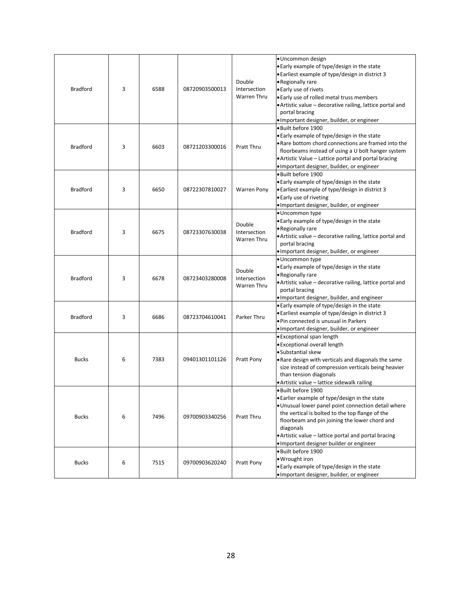| <b>Bradford</b> | 3 | 6588 | 08720903500013 | Double<br>Intersection<br>Warren Thru | · Uncommon design<br>• Early example of type/design in the state<br>• Earliest example of type/design in district 3<br>• Regionally rare<br>• Early use of rivets<br>. Early use of rolled metal truss members<br>• Artistic value – decorative railing, lattice portal and<br>portal bracing                                                    |
|-----------------|---|------|----------------|---------------------------------------|--------------------------------------------------------------------------------------------------------------------------------------------------------------------------------------------------------------------------------------------------------------------------------------------------------------------------------------------------|
| <b>Bradford</b> | 3 | 6603 | 08721203300016 | Pratt Thru                            | • Important designer, builder, or engineer<br>· Built before 1900<br>• Early example of type/design in the state<br>. Rare bottom chord connections are framed into the<br>floorbeams instead of using a U bolt hanger system<br>• Artistic Value - Lattice portal and portal bracing<br>· Important designer, builder, or engineer              |
| <b>Bradford</b> | 3 | 6650 | 08722307810027 | Warren Pony                           | · Built before 1900<br>. Early example of type/design in the state<br>• Earliest example of type/design in district 3<br>• Early use of riveting<br>· Important designer, builder, or engineer                                                                                                                                                   |
| <b>Bradford</b> | 3 | 6675 | 08723307630038 | Double<br>Intersection<br>Warren Thru | · Uncommon type<br>• Early example of type/design in the state<br>• Regionally rare<br>• Artistic value - decorative railing, lattice portal and<br>portal bracing<br>· Important designer, builder, or engineer                                                                                                                                 |
| <b>Bradford</b> | 3 | 6678 | 08723403280008 | Double<br>Intersection<br>Warren Thru | · Uncommon type<br>• Early example of type/design in the state<br>• Regionally rare<br>• Artistic value - decorative railing, lattice portal and<br>portal bracing<br>. Important designer, builder, and engineer                                                                                                                                |
| <b>Bradford</b> | 3 | 6686 | 08723704610041 | Parker Thru                           | • Early example of type/design in the state<br>• Earliest example of type/design in district 3<br>. Pin connected is unusual in Parkers<br>• Important designer, builder, or engineer                                                                                                                                                            |
| <b>Bucks</b>    | 6 | 7383 | 09401301101126 | Pratt Pony                            | • Exceptional span length<br>• Exceptional overall length<br>• Substantial skew<br>. Rare design with verticals and diagonals the same<br>size instead of compression verticals being heavier<br>than tension diagonals<br>• Artistic value - lattice sidewalk railing                                                                           |
| <b>Bucks</b>    | 6 | 7496 | 09700903340256 | Pratt Thru                            | · Built before 1900<br>• Earlier example of type/design in the state<br>. Unusual lower panel point connection detail where<br>the vertical is bolted to the top flange of the<br>floorbeam and pin joining the lower chord and<br>diagonals<br>. Artistic value - lattice portal and portal bracing<br>· Important designer builder or engineer |
| <b>Bucks</b>    | 6 | 7515 | 09700903620240 | Pratt Pony                            | · Built before 1900<br>• Wrought iron<br>. Early example of type/design in the state<br>· Important designer, builder, or engineer                                                                                                                                                                                                               |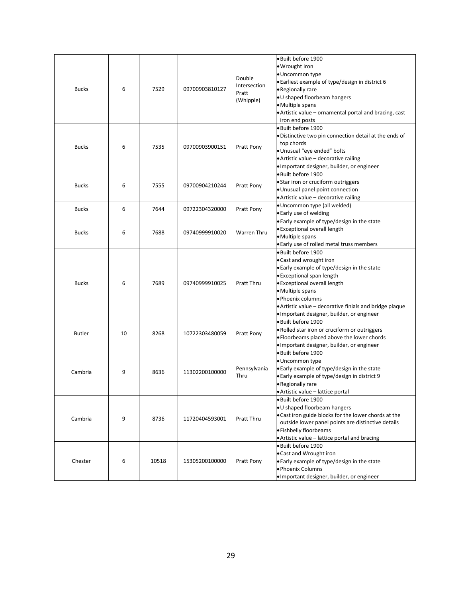| <b>Bucks</b>  | 6  | 7529  | 09700903810127 | Double<br>Intersection<br>Pratt<br>(Whipple) | · Built before 1900<br>· Wrought Iron<br>· Uncommon type<br>• Earliest example of type/design in district 6<br>• Regionally rare<br>· U shaped floorbeam hangers<br>• Multiple spans<br>. Artistic value - ornamental portal and bracing, cast<br>iron end posts                                             |
|---------------|----|-------|----------------|----------------------------------------------|--------------------------------------------------------------------------------------------------------------------------------------------------------------------------------------------------------------------------------------------------------------------------------------------------------------|
| <b>Bucks</b>  | 6  | 7535  | 09700903900151 | Pratt Pony                                   | · Built before 1900<br>. Distinctive two pin connection detail at the ends of<br>top chords<br>· Unusual "eye ended" bolts<br>• Artistic value - decorative railing<br>• Important designer, builder, or engineer                                                                                            |
| <b>Bucks</b>  | 6  | 7555  | 09700904210244 | Pratt Pony                                   | · Built before 1900<br>• Star iron or cruciform outriggers<br>· Unusual panel point connection<br>· Artistic value - decorative railing                                                                                                                                                                      |
| <b>Bucks</b>  | 6  | 7644  | 09722304320000 | Pratt Pony                                   | · Uncommon type (all welded)<br>• Early use of welding                                                                                                                                                                                                                                                       |
| <b>Bucks</b>  | 6  | 7688  | 09740999910020 | <b>Warren Thru</b>                           | . Early example of type/design in the state<br>· Exceptional overall length<br>• Multiple spans<br>. Early use of rolled metal truss members                                                                                                                                                                 |
| <b>Bucks</b>  | 6  | 7689  | 09740999910025 | Pratt Thru                                   | · Built before 1900<br>• Cast and wrought iron<br>. Early example of type/design in the state<br>· Exceptional span length<br>· Exceptional overall length<br>• Multiple spans<br>· Phoenix columns<br>• Artistic value – decorative finials and bridge plaque<br>· Important designer, builder, or engineer |
| <b>Butler</b> | 10 | 8268  | 10722303480059 | Pratt Pony                                   | · Built before 1900<br>. Rolled star iron or cruciform or outriggers<br>. Floorbeams placed above the lower chords<br>· Important designer, builder, or engineer                                                                                                                                             |
| Cambria       | 9  | 8636  | 11302200100000 | Pennsylvania<br>Thru                         | · Built before 1900<br>· Uncommon type<br>• Early example of type/design in the state<br>. Early example of type/design in district 9<br>• Regionally rare<br>Artistic value - lattice portal                                                                                                                |
| Cambria       | 9  | 8736  | 11720404593001 | Pratt Thru                                   | · Built before 1900<br>• U shaped floorbeam hangers<br>. Cast iron guide blocks for the lower chords at the<br>outside lower panel points are distinctive details<br>· Fishbelly floorbeams<br>• Artistic value - lattice portal and bracing                                                                 |
| Chester       | 6  | 10518 | 15305200100000 | Pratt Pony                                   | · Built before 1900<br>• Cast and Wrought iron<br>. Early example of type/design in the state<br>· Phoenix Columns<br>· Important designer, builder, or engineer                                                                                                                                             |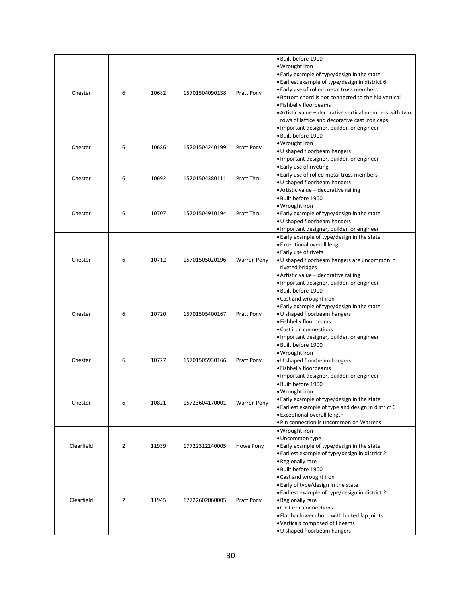| Chester    | 6              | 10682 | 15701504090138 | Pratt Pony        | · Built before 1900<br>• Wrought iron<br>. Early example of type/design in the state<br>• Earliest example of type/design in district 6<br>. Early use of rolled metal truss members<br>. Bottom chord is not connected to the hip vertical<br>· Fishbelly floorbeams<br>• Artistic value – decorative vertical members with two<br>rows of lattice and decorative cast iron caps<br>· Important designer, builder, or engineer |
|------------|----------------|-------|----------------|-------------------|---------------------------------------------------------------------------------------------------------------------------------------------------------------------------------------------------------------------------------------------------------------------------------------------------------------------------------------------------------------------------------------------------------------------------------|
| Chester    | 6              | 10686 | 15701504240199 | Pratt Pony        | · Built before 1900<br>• Wrought iron<br>. U shaped floorbeam hangers<br>· Important designer, builder, or engineer                                                                                                                                                                                                                                                                                                             |
| Chester    | 6              | 10692 | 15701504380111 | <b>Pratt Thru</b> | • Early use of riveting<br>. Early use of rolled metal truss members<br>. U shaped floorbeam hangers<br>• Artistic value - decorative railing                                                                                                                                                                                                                                                                                   |
| Chester    | 6              | 10707 | 15701504910194 | Pratt Thru        | · Built before 1900<br>• Wrought iron<br>. Early example of type/design in the state<br>. U shaped floorbeam hangers<br>· Important designer, builder, or engineer                                                                                                                                                                                                                                                              |
| Chester    | 6              | 10712 | 15701505020196 | Warren Pony       | . Early example of type/design in the state<br>· Exceptional overall length<br>• Early use of rivets<br>· U shaped floorbeam hangers are uncommon in<br>riveted bridges<br>· Artistic value - decorative railing<br>· Important designer, builder, or engineer                                                                                                                                                                  |
| Chester    | 6              | 10720 | 15701505400167 | Pratt Pony        | · Built before 1900<br>. Cast and wrought iron<br>• Early example of type/design in the state<br>. U shaped floorbeam hangers<br>· Fishbelly floorbeams<br>· Cast iron connections<br>· Important designer, builder, or engineer                                                                                                                                                                                                |
| Chester    | 6              | 10727 | 15701505930166 | Pratt Pony        | · Built before 1900<br>· Wrought iron<br>. U shaped floorbeam hangers<br>· Fishbelly floorbeams<br>· Important designer, builder, or engineer                                                                                                                                                                                                                                                                                   |
| Chester    | 6              | 10821 | 15723604170001 | Warren Pony       | · Built before 1900<br>$\bullet$ Wrought iron<br>. Early example of type/design in the state<br>. Earliest example of type and design in district 6<br>• Exceptional overall length<br>. Pin connection is uncommon on Warrens                                                                                                                                                                                                  |
| Clearfield | $\overline{2}$ | 11939 | 17722312240005 | Howe Pony         | · Wrought iron<br>· Uncommon type<br>. Early example of type/design in the state<br>• Earliest example of type/design in district 2<br>· Regionally rare                                                                                                                                                                                                                                                                        |
| Clearfield | $\overline{2}$ | 11945 | 17722602060005 | Pratt Pony        | · Built before 1900<br>. Cast and wrought iron<br>. Early of type/design in the state<br>• Earliest example of type/design in district 2<br>• Regionally rare<br>• Cast iron connections<br>. Flat bar lower chord with bolted lap joints<br>. Verticals composed of I beams<br>. U shaped floorbeam hangers                                                                                                                    |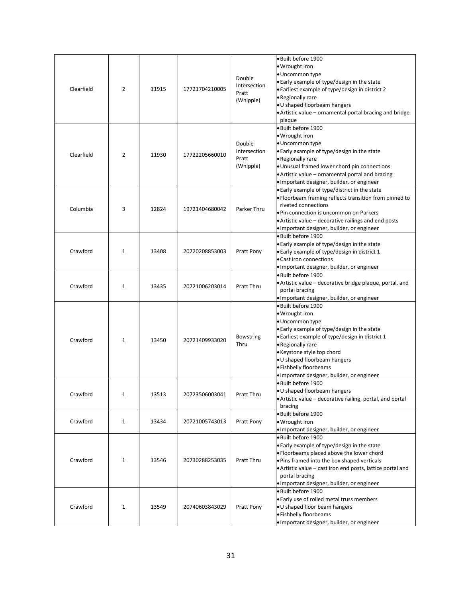| Clearfield | $\overline{2}$ | 11915 | 17721704210005 | Double<br>Intersection<br>Pratt<br>(Whipple) | · Built before 1900<br>• Wrought iron<br>· Uncommon type<br>. Early example of type/design in the state<br>• Earliest example of type/design in district 2<br>• Regionally rare<br>· U shaped floorbeam hangers<br>• Artistic value - ornamental portal bracing and bridge<br>plaque                                  |
|------------|----------------|-------|----------------|----------------------------------------------|-----------------------------------------------------------------------------------------------------------------------------------------------------------------------------------------------------------------------------------------------------------------------------------------------------------------------|
| Clearfield | 2              | 11930 | 17722205660010 | Double<br>Intersection<br>Pratt<br>(Whipple) | · Built before 1900<br>· Wrought iron<br>· Uncommon type<br>. Early example of type/design in the state<br>• Regionally rare<br>· Unusual framed lower chord pin connections<br>• Artistic value – ornamental portal and bracing<br>· Important designer, builder, or engineer                                        |
| Columbia   | 3              | 12824 | 19721404680042 | Parker Thru                                  | . Early example of type/district in the state<br>. Floorbeam framing reflects transition from pinned to<br>riveted connections<br>. Pin connection is uncommon on Parkers<br>• Artistic value - decorative railings and end posts<br>. Important designer, builder, or engineer                                       |
| Crawford   | $\mathbf{1}$   | 13408 | 20720208853003 | Pratt Pony                                   | · Built before 1900<br>. Early example of type/design in the state<br>• Early example of type/design in district 1<br>• Cast iron connections<br>· Important designer, builder, or engineer                                                                                                                           |
| Crawford   | 1              | 13435 | 20721006203014 | Pratt Thru                                   | · Built before 1900<br>· Artistic value - decorative bridge plaque, portal, and<br>portal bracing<br>· Important designer, builder, or engineer                                                                                                                                                                       |
| Crawford   | 1              | 13450 | 20721409933020 | <b>Bowstring</b><br>Thru                     | · Built before 1900<br>· Wrought iron<br>· Uncommon type<br>. Early example of type/design in the state<br>• Earliest example of type/design in district 1<br>• Regionally rare<br>• Keystone style top chord<br>. U shaped floorbeam hangers<br>· Fishbelly floorbeams<br>· Important designer, builder, or engineer |
| Crawford   | $\mathbf 1$    | 13513 | 20723506003041 | Pratt Thru                                   | · Built before 1900<br>· U shaped floorbeam hangers<br>• Artistic value - decorative railing, portal, and portal<br>bracing                                                                                                                                                                                           |
| Crawford   | $\mathbf{1}$   | 13434 | 20721005743013 | Pratt Pony                                   | · Built before 1900<br>• Wrought iron<br>· Important designer, builder, or engineer                                                                                                                                                                                                                                   |
| Crawford   | $\mathbf{1}$   | 13546 | 20730288253035 | Pratt Thru                                   | · Built before 1900<br>. Early example of type/design in the state<br>. Floorbeams placed above the lower chord<br>. Pins framed into the box shaped verticals<br>• Artistic value – cast iron end posts, lattice portal and<br>portal bracing<br>· Important designer, builder, or engineer                          |
| Crawford   | $\mathbf{1}$   | 13549 | 20740603843029 | Pratt Pony                                   | · Built before 1900<br>. Early use of rolled metal truss members<br>. U shaped floor beam hangers<br>· Fishbelly floorbeams<br>· Important designer, builder, or engineer                                                                                                                                             |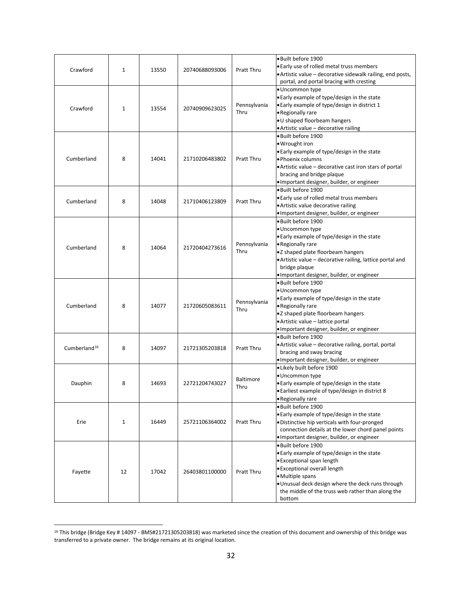| Crawford                 | $\mathbf{1}$ | 13550 | 20740688093006 | Pratt Thru               | · Built before 1900<br>. Early use of rolled metal truss members<br>• Artistic value – decorative sidewalk railing, end posts,<br>portal, and portal bracing with cresting                                                                                                   |
|--------------------------|--------------|-------|----------------|--------------------------|------------------------------------------------------------------------------------------------------------------------------------------------------------------------------------------------------------------------------------------------------------------------------|
| Crawford                 | $\mathbf{1}$ | 13554 | 20740909623025 | Pennsylvania<br>Thru     | · Uncommon type<br>. Early example of type/design in the state<br>. Early example of type/design in district 1<br>• Regionally rare<br>. U shaped floorbeam hangers<br>• Artistic value - decorative railing                                                                 |
| Cumberland               | 8            | 14041 | 21710206483802 | <b>Pratt Thru</b>        | · Built before 1900<br>· Wrought iron<br>. Early example of type/design in the state<br>· Phoenix columns<br>• Artistic value - decorative cast iron stars of portal<br>bracing and bridge plaque<br>· Important designer, builder, or engineer                              |
| Cumberland               | 8            | 14048 | 21710406123809 | Pratt Thru               | · Built before 1900<br>. Early use of rolled metal truss members<br>· Artistic value decorative railing<br>· Important designer, builder, or engineer                                                                                                                        |
| Cumberland               | 8            | 14064 | 21720404273616 | Pennsylvania<br>Thru     | · Built before 1900<br>• Uncommon type<br>. Early example of type/design in the state<br>• Regionally rare<br>. Z shaped plate floorbeam hangers<br>• Artistic value - decorative railing, lattice portal and<br>bridge plaque<br>· Important designer, builder, or engineer |
| Cumberland               | 8            | 14077 | 21720605083611 | Pennsylvania<br>Thru     | · Built before 1900<br>· Uncommon type<br>. Early example of type/design in the state<br>• Regionally rare<br>. Z shaped plate floorbeam hangers<br>· Artistic value - lattice portal<br>· Important designer, builder, or engineer                                          |
| Cumberland <sup>16</sup> | 8            | 14097 | 21721305203818 | Pratt Thru               | · Built before 1900<br>• Artistic value - decorative railing, portal, portal<br>bracing and sway bracing<br>· Important designer, builder, or engineer                                                                                                                       |
| Dauphin                  | 8            | 14693 | 22721204743027 | <b>Baltimore</b><br>Thru | · Likely built before 1900<br>· Uncommon type<br>. Early example of type/design in the state<br>• Earliest example of type/design in district 8<br>• Regionally rare                                                                                                         |
| Erie                     | $\mathbf{1}$ | 16449 | 25721106364002 | Pratt Thru               | · Built before 1900<br>. Early example of type/design in the state<br>· Distinctive hip verticals with four-pronged<br>connection details at the lower chord panel points<br>· Important designer, builder, or engineer                                                      |
| Fayette                  | 12           | 17042 | 26403801100000 | Pratt Thru               | · Built before 1900<br>. Early example of type/design in the state<br>• Exceptional span length<br>• Exceptional overall length<br>• Multiple spans<br>. Unusual deck design where the deck runs through<br>the middle of the truss web rather than along the<br>bottom      |

<span id="page-31-0"></span> <sup>16</sup> This bridge (Bridge Key # 14097 - BMS#21721305203818) was marketed since the creation of this document and ownership of this bridge was transferred to a private owner. The bridge remains at its original location.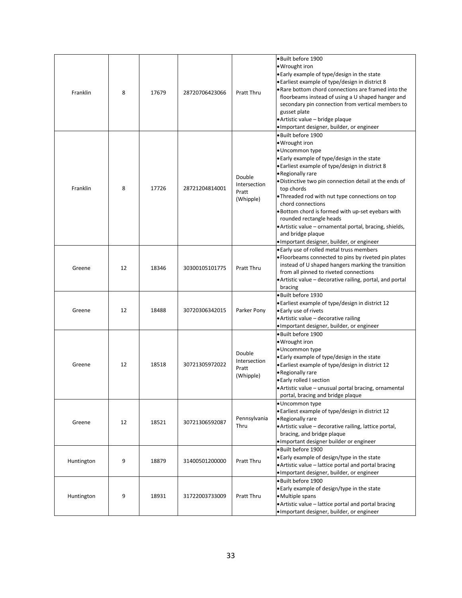| Franklin   | 8  | 17679 | 28720706423066 | <b>Pratt Thru</b>                            | · Built before 1900<br>· Wrought iron<br>. Early example of type/design in the state<br>• Earliest example of type/design in district 8<br>. Rare bottom chord connections are framed into the<br>floorbeams instead of using a U shaped hanger and<br>secondary pin connection from vertical members to<br>gusset plate<br>· Artistic value - bridge plaque<br>· Important designer, builder, or engineer                                                                                                                                    |
|------------|----|-------|----------------|----------------------------------------------|-----------------------------------------------------------------------------------------------------------------------------------------------------------------------------------------------------------------------------------------------------------------------------------------------------------------------------------------------------------------------------------------------------------------------------------------------------------------------------------------------------------------------------------------------|
| Franklin   | 8  | 17726 | 28721204814001 | Double<br>Intersection<br>Pratt<br>(Whipple) | • Built before 1900<br>• Wrought iron<br>· Uncommon type<br>• Early example of type/design in the state<br>• Earliest example of type/design in district 8<br>• Regionally rare<br>. Distinctive two pin connection detail at the ends of<br>top chords<br>. Threaded rod with nut type connections on top<br>chord connections<br>. Bottom chord is formed with up-set eyebars with<br>rounded rectangle heads<br>· Artistic value - ornamental portal, bracing, shields,<br>and bridge plaque<br>· Important designer, builder, or engineer |
| Greene     | 12 | 18346 | 30300105101775 | <b>Pratt Thru</b>                            | . Early use of rolled metal truss members<br>• Floorbeams connected to pins by riveted pin plates<br>instead of U shaped hangers marking the transition<br>from all pinned to riveted connections<br>. Artistic value - decorative railing, portal, and portal<br>bracing                                                                                                                                                                                                                                                                     |
| Greene     | 12 | 18488 | 30720306342015 | Parker Pony                                  | · Built before 1930<br>• Earliest example of type/design in district 12<br>• Early use of rivets<br>• Artistic value – decorative railing<br>· Important designer, builder, or engineer                                                                                                                                                                                                                                                                                                                                                       |
| Greene     | 12 | 18518 | 30721305972022 | Double<br>Intersection<br>Pratt<br>(Whipple) | · Built before 1900<br>· Wrought iron<br>· Uncommon type<br>. Early example of type/design in the state<br>• Earliest example of type/design in district 12<br>· Regionally rare<br>· Early rolled I section<br>• Artistic value - unusual portal bracing, ornamental<br>portal, bracing and bridge plaque                                                                                                                                                                                                                                    |
| Greene     | 12 | 18521 | 30721306592087 | Pennsylvania<br>Thru                         | · Uncommon type<br>• Earliest example of type/design in district 12<br>• Regionally rare<br>· Artistic value - decorative railing, lattice portal,<br>bracing, and bridge plaque<br>· Important designer builder or engineer                                                                                                                                                                                                                                                                                                                  |
| Huntington | 9  | 18879 | 31400501200000 | Pratt Thru                                   | · Built before 1900<br>. Early example of design/type in the state<br>• Artistic value – lattice portal and portal bracing<br>· Important designer, builder, or engineer                                                                                                                                                                                                                                                                                                                                                                      |
| Huntington | 9  | 18931 | 31722003733009 | Pratt Thru                                   | · Built before 1900<br>• Early example of design/type in the state<br>• Multiple spans<br>• Artistic value - lattice portal and portal bracing<br>· Important designer, builder, or engineer                                                                                                                                                                                                                                                                                                                                                  |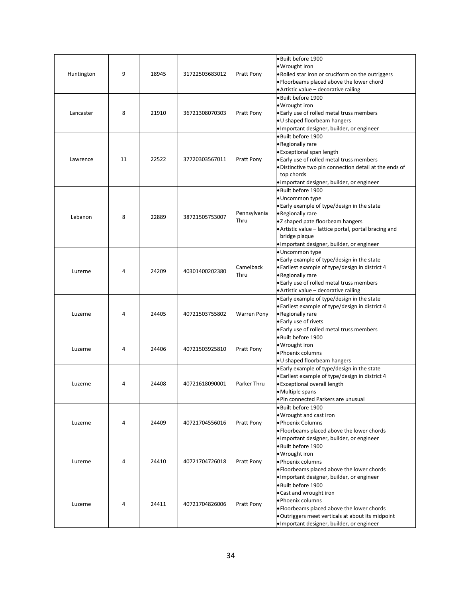| Huntington | 9  | 18945 | 31722503683012 | Pratt Pony           | · Built before 1900<br>• Wrought Iron<br>. Rolled star iron or cruciform on the outriggers<br>. Floorbeams placed above the lower chord<br>• Artistic value - decorative railing                                                                                        |
|------------|----|-------|----------------|----------------------|-------------------------------------------------------------------------------------------------------------------------------------------------------------------------------------------------------------------------------------------------------------------------|
| Lancaster  | 8  | 21910 | 36721308070303 | Pratt Pony           | · Built before 1900<br>• Wrought iron<br>. Early use of rolled metal truss members<br>. U shaped floorbeam hangers<br>· Important designer, builder, or engineer                                                                                                        |
| Lawrence   | 11 | 22522 | 37720303567011 | Pratt Pony           | · Built before 1900<br>• Regionally rare<br>• Exceptional span length<br>. Early use of rolled metal truss members<br>. Distinctive two pin connection detail at the ends of<br>top chords<br>· Important designer, builder, or engineer                                |
| Lebanon    | 8  | 22889 | 38721505753007 | Pennsylvania<br>Thru | · Built before 1900<br>· Uncommon type<br>. Early example of type/design in the state<br>• Regionally rare<br>. Z shaped pate floorbeam hangers<br>• Artistic value - lattice portal, portal bracing and<br>bridge plaque<br>· Important designer, builder, or engineer |
| Luzerne    | 4  | 24209 | 40301400202380 | Camelback<br>Thru    | · Uncommon type<br>. Early example of type/design in the state<br>• Earliest example of type/design in district 4<br>• Regionally rare<br>. Early use of rolled metal truss members<br>• Artistic value - decorative railing                                            |
| Luzerne    | 4  | 24405 | 40721503755802 | Warren Pony          | . Early example of type/design in the state<br>· Earliest example of type/design in district 4<br>• Regionally rare<br>• Early use of rivets<br>. Early use of rolled metal truss members                                                                               |
| Luzerne    | 4  | 24406 | 40721503925810 | Pratt Pony           | · Built before 1900<br>• Wrought iron<br>· Phoenix columns<br>· U shaped floorbeam hangers                                                                                                                                                                              |
| Luzerne    | 4  | 24408 | 40721618090001 | Parker Thru          | . Early example of type/design in the state<br>• Earliest example of type/design in district 4<br>• Exceptional overall length<br>· Multiple spans<br>. Pin connected Parkers are unusual                                                                               |
| Luzerne    | 4  | 24409 | 40721704556016 | Pratt Pony           | · Built before 1900<br>. Wrought and cast iron<br>· Phoenix Columns<br>. Floorbeams placed above the lower chords<br>· Important designer, builder, or engineer                                                                                                         |
| Luzerne    | 4  | 24410 | 40721704726018 | Pratt Pony           | · Built before 1900<br>· Wrought iron<br>· Phoenix columns<br>. Floorbeams placed above the lower chords<br>· Important designer, builder, or engineer                                                                                                                  |
| Luzerne    | 4  | 24411 | 40721704826006 | Pratt Pony           | · Built before 1900<br>. Cast and wrought iron<br>· Phoenix columns<br>. Floorbeams placed above the lower chords<br>. Outriggers meet verticals at about its midpoint<br>· Important designer, builder, or engineer                                                    |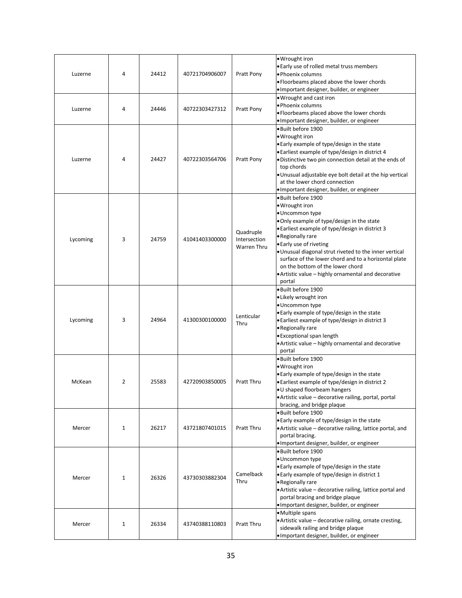|          |              |       |                |              | · Wrought iron                                                                              |
|----------|--------------|-------|----------------|--------------|---------------------------------------------------------------------------------------------|
|          |              |       |                |              | . Early use of rolled metal truss members                                                   |
| Luzerne  | 4            | 24412 | 40721704906007 | Pratt Pony   | · Phoenix columns                                                                           |
|          |              |       |                |              | . Floorbeams placed above the lower chords                                                  |
|          |              |       |                |              | . Important designer, builder, or engineer                                                  |
|          |              |       |                |              | • Wrought and cast iron                                                                     |
| Luzerne  | 4            | 24446 | 40722303427312 | Pratt Pony   | · Phoenix columns                                                                           |
|          |              |       |                |              | . Floorbeams placed above the lower chords                                                  |
|          |              |       |                |              | . Important designer, builder, or engineer<br>· Built before 1900                           |
|          |              |       |                |              | · Wrought iron                                                                              |
|          |              |       |                |              | . Early example of type/design in the state                                                 |
|          |              |       |                |              | • Earliest example of type/design in district 4                                             |
| Luzerne  | 4            | 24427 | 40722303564706 | Pratt Pony   | . Distinctive two pin connection detail at the ends of                                      |
|          |              |       |                |              | top chords                                                                                  |
|          |              |       |                |              | • Unusual adjustable eye bolt detail at the hip vertical                                    |
|          |              |       |                |              | at the lower chord connection                                                               |
|          |              |       |                |              | • Important designer, builder, or engineer                                                  |
|          |              |       |                |              | · Built before 1900                                                                         |
|          |              |       |                |              | · Wrought iron                                                                              |
|          |              |       |                |              | · Uncommon type                                                                             |
|          |              |       |                |              | . Only example of type/design in the state                                                  |
|          |              |       |                | Quadruple    | • Earliest example of type/design in district 3                                             |
| Lycoming | 3            | 24759 | 41041403300000 | Intersection | · Regionally rare                                                                           |
|          |              |       |                | Warren Thru  | • Early use of riveting                                                                     |
|          |              |       |                |              | . Unusual diagonal strut riveted to the inner vertical                                      |
|          |              |       |                |              | surface of the lower chord and to a horizontal plate<br>on the bottom of the lower chord    |
|          |              |       |                |              | . Artistic value - highly ornamental and decorative                                         |
|          |              |       |                |              | portal                                                                                      |
|          |              |       |                |              | · Built before 1900                                                                         |
|          |              |       |                |              | · Likely wrought iron                                                                       |
|          |              |       |                |              | · Uncommon type                                                                             |
|          |              |       |                | Lenticular   | . Early example of type/design in the state                                                 |
| Lycoming | 3            | 24964 | 41300300100000 | Thru         | • Earliest example of type/design in district 3                                             |
|          |              |       |                |              | • Regionally rare                                                                           |
|          |              |       |                |              | • Exceptional span length                                                                   |
|          |              |       |                |              | . Artistic value - highly ornamental and decorative                                         |
|          |              |       |                |              | portal                                                                                      |
|          |              |       |                |              | · Built before 1900<br>· Wrought iron                                                       |
|          |              |       |                |              | . Early example of type/design in the state                                                 |
| McKean   | 2            | 25583 | 42720903850005 | Pratt Thru   | • Earliest example of type/design in district 2                                             |
|          |              |       |                |              | • U shaped floorbeam hangers                                                                |
|          |              |       |                |              | Artistic value - decorative railing, portal, portal                                         |
|          |              |       |                |              | bracing, and bridge plaque                                                                  |
|          |              |       |                |              | · Built before 1900                                                                         |
|          |              |       |                |              | . Early example of type/design in the state                                                 |
| Mercer   | $\mathbf{1}$ | 26217 | 43721807401015 | Pratt Thru   | • Artistic value - decorative railing, lattice portal, and                                  |
|          |              |       |                |              | portal bracing.                                                                             |
|          |              |       |                |              | · Important designer, builder, or engineer                                                  |
|          |              |       |                |              | · Built before 1900                                                                         |
|          |              |       |                |              | · Uncommon type                                                                             |
|          |              |       |                | Camelback    | . Early example of type/design in the state<br>. Early example of type/design in district 1 |
| Mercer   | $1\,$        | 26326 | 43730303882304 | Thru         | • Regionally rare                                                                           |
|          |              |       |                |              | • Artistic value - decorative railing, lattice portal and                                   |
|          |              |       |                |              | portal bracing and bridge plaque                                                            |
|          |              |       |                |              | · Important designer, builder, or engineer                                                  |
|          |              |       |                |              | • Multiple spans                                                                            |
|          |              |       |                |              | . Artistic value - decorative railing, ornate cresting,                                     |
| Mercer   | $\mathbf{1}$ | 26334 | 43740388110803 | Pratt Thru   | sidewalk railing and bridge plaque                                                          |
|          |              |       |                |              | · Important designer, builder, or engineer                                                  |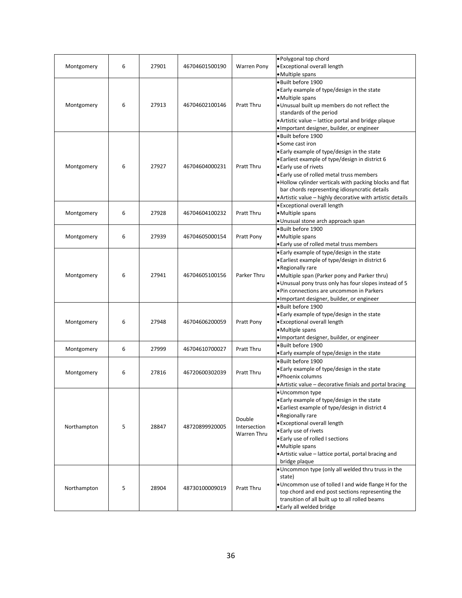| Montgomery  | 6 | 27901 | 46704601500190 | Warren Pony                           | . Polygonal top chord<br>· Exceptional overall length<br>· Multiple spans                                                                                                                                                                                                                                                                                                                  |
|-------------|---|-------|----------------|---------------------------------------|--------------------------------------------------------------------------------------------------------------------------------------------------------------------------------------------------------------------------------------------------------------------------------------------------------------------------------------------------------------------------------------------|
| Montgomery  | 6 | 27913 | 46704602100146 | Pratt Thru                            | · Built before 1900<br>. Early example of type/design in the state<br>· Multiple spans<br>. Unusual built up members do not reflect the<br>standards of the period<br>. Artistic value - lattice portal and bridge plaque<br>· Important designer, builder, or engineer                                                                                                                    |
| Montgomery  | 6 | 27927 | 46704604000231 | <b>Pratt Thru</b>                     | · Built before 1900<br>• Some cast iron<br>. Early example of type/design in the state<br>· Earliest example of type/design in district 6<br>• Early use of rivets<br>. Early use of rolled metal truss members<br>. Hollow cylinder verticals with packing blocks and flat<br>bar chords representing idiosyncratic details<br>. Artistic value - highly decorative with artistic details |
| Montgomery  | 6 | 27928 | 46704604100232 | Pratt Thru                            | <b>•</b> Exceptional overall length<br>· Multiple spans<br>· Unusual stone arch approach span                                                                                                                                                                                                                                                                                              |
| Montgomery  | 6 | 27939 | 46704605000154 | Pratt Pony                            | · Built before 1900<br>• Multiple spans<br>. Early use of rolled metal truss members                                                                                                                                                                                                                                                                                                       |
| Montgomery  | 6 | 27941 | 46704605100156 | Parker Thru                           | . Early example of type/design in the state<br>· Earliest example of type/design in district 6<br>• Regionally rare<br>• Multiple span (Parker pony and Parker thru)<br>. Unusual pony truss only has four slopes instead of 5<br>. Pin connections are uncommon in Parkers<br>· Important designer, builder, or engineer                                                                  |
| Montgomery  | 6 | 27948 | 46704606200059 | Pratt Pony                            | · Built before 1900<br>. Early example of type/design in the state<br>· Exceptional overall length<br>· Multiple spans<br>. Important designer, builder, or engineer                                                                                                                                                                                                                       |
| Montgomery  | 6 | 27999 | 46704610700027 | <b>Pratt Thru</b>                     | · Built before 1900<br>. Early example of type/design in the state                                                                                                                                                                                                                                                                                                                         |
| Montgomery  | 6 | 27816 | 46720600302039 | Pratt Thru                            | · Built before 1900<br>. Early example of type/design in the state<br>· Phoenix columns<br>• Artistic value - decorative finials and portal bracing                                                                                                                                                                                                                                        |
| Northampton | 5 | 28847 | 48720899920005 | Double<br>Intersection<br>Warren Thru | Uncommon type<br>. Early example of type/design in the state<br>· Earliest example of type/design in district 4<br>• Regionally rare<br>· Exceptional overall length<br>• Early use of rivets<br>. Early use of rolled I sections<br>· Multiple spans<br>. Artistic value - lattice portal, portal bracing and<br>bridge plaque                                                            |
| Northampton | 5 | 28904 | 48730100009019 | Pratt Thru                            | . Uncommon type (only all welded thru truss in the<br>state)<br>. Uncommon use of tolled I and wide flange H for the<br>top chord and end post sections representing the<br>transition of all built up to all rolled beams<br>· Early all welded bridge                                                                                                                                    |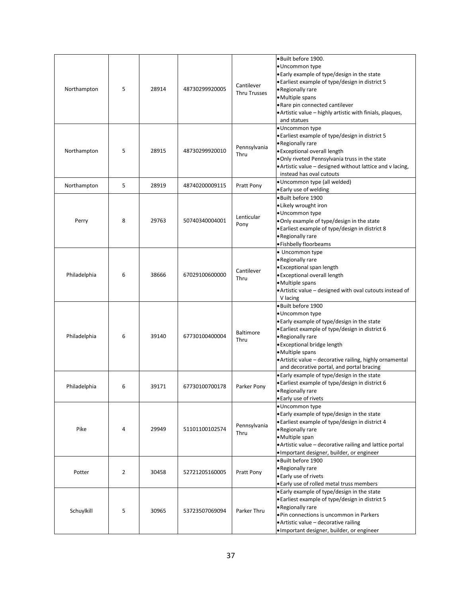|              |              |       |                |                                   | · Built before 1900.                                                                                              |
|--------------|--------------|-------|----------------|-----------------------------------|-------------------------------------------------------------------------------------------------------------------|
|              |              |       |                |                                   | · Uncommon type<br>. Early example of type/design in the state<br>• Earliest example of type/design in district 5 |
| Northampton  | 5            | 28914 | 48730299920005 | Cantilever<br><b>Thru Trusses</b> | • Regionally rare                                                                                                 |
|              |              |       |                |                                   | · Multiple spans                                                                                                  |
|              |              |       |                |                                   | . Rare pin connected cantilever                                                                                   |
|              |              |       |                |                                   | • Artistic value - highly artistic with finials, plaques,                                                         |
|              |              |       |                |                                   | and statues<br>· Uncommon type                                                                                    |
|              |              |       |                |                                   | • Earliest example of type/design in district 5                                                                   |
|              |              |       |                |                                   | • Regionally rare                                                                                                 |
| Northampton  | 5            | 28915 | 48730299920010 | Pennsylvania<br>Thru              | · Exceptional overall length                                                                                      |
|              |              |       |                |                                   | . Only riveted Pennsylvania truss in the state                                                                    |
|              |              |       |                |                                   | • Artistic value – designed without lattice and v lacing,<br>instead has oval cutouts                             |
| Northampton  | 5            | 28919 | 48740200009115 | Pratt Pony                        | • Uncommon type (all welded)                                                                                      |
|              |              |       |                |                                   | • Early use of welding<br>· Built before 1900                                                                     |
|              |              |       |                |                                   | · Likely wrought iron                                                                                             |
|              |              |       |                |                                   | · Uncommon type                                                                                                   |
| Perry        | 8            | 29763 | 50740340004001 | Lenticular                        | . Only example of type/design in the state                                                                        |
|              |              |       |                | Pony                              | • Earliest example of type/design in district 8                                                                   |
|              |              |       |                |                                   | • Regionally rare                                                                                                 |
|              |              |       |                |                                   | · Fishbelly floorbeams                                                                                            |
|              |              |       |                |                                   | · Uncommon type                                                                                                   |
|              |              |       |                |                                   | • Regionally rare<br>• Exceptional span length                                                                    |
| Philadelphia | 6            | 38666 | 67029100600000 | Cantilever                        | · Exceptional overall length                                                                                      |
|              |              |       |                | Thru                              | • Multiple spans                                                                                                  |
|              |              |       |                |                                   | • Artistic value - designed with oval cutouts instead of                                                          |
|              |              |       |                |                                   | V lacing                                                                                                          |
|              |              |       |                |                                   | · Built before 1900                                                                                               |
|              |              | 39140 | 67730100400004 | Baltimore                         | · Uncommon type                                                                                                   |
|              |              |       |                |                                   | . Early example of type/design in the state<br>• Earliest example of type/design in district 6                    |
| Philadelphia | 6            |       |                |                                   | • Regionally rare                                                                                                 |
|              |              |       |                | Thru                              | • Exceptional bridge length                                                                                       |
|              |              |       |                |                                   | · Multiple spans                                                                                                  |
|              |              |       |                |                                   | • Artistic value - decorative railing, highly ornamental                                                          |
|              |              |       |                |                                   | and decorative portal, and portal bracing                                                                         |
|              |              |       |                |                                   | . Early example of type/design in the state<br>• Earliest example of type/design in district 6                    |
| Philadelphia | 6            | 39171 | 67730100700178 | Parker Pony                       | • Regionally rare                                                                                                 |
|              |              |       |                |                                   | • Early use of rivets                                                                                             |
|              |              |       |                |                                   | · Uncommon type                                                                                                   |
|              |              |       |                |                                   | . Early example of type/design in the state                                                                       |
|              |              |       |                | Pennsylvania                      | • Earliest example of type/design in district 4                                                                   |
| Pike         | 4            | 29949 | 51101100102574 | Thru                              | • Regionally rare                                                                                                 |
|              |              |       |                |                                   | · Multiple span<br>• Artistic value - decorative railing and lattice portal                                       |
|              |              |       |                |                                   | · Important designer, builder, or engineer                                                                        |
|              |              |       |                |                                   | · Built before 1900                                                                                               |
|              | $\mathbf{2}$ | 30458 | 52721205160005 | Pratt Pony                        | • Regionally rare                                                                                                 |
| Potter       |              |       |                |                                   | • Early use of rivets                                                                                             |
|              |              |       |                |                                   | . Early use of rolled metal truss members                                                                         |
|              |              |       |                |                                   | . Early example of type/design in the state                                                                       |
|              |              |       |                |                                   | • Earliest example of type/design in district 5<br>· Regionally rare                                              |
| Schuylkill   | 5            | 30965 | 53723507069094 | Parker Thru                       | . Pin connections is uncommon in Parkers                                                                          |
|              |              |       |                |                                   | • Artistic value – decorative railing                                                                             |
|              |              |       |                |                                   | · Important designer, builder, or engineer                                                                        |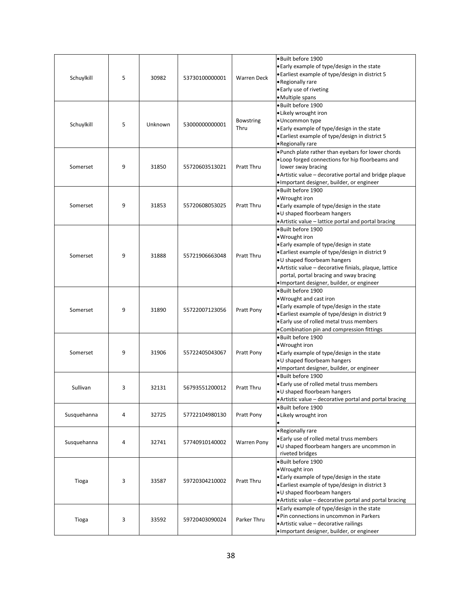| Schuylkill  | 5 | 30982   | 53730100000001 | Warren Deck              | · Built before 1900<br>• Early example of type/design in the state<br>• Earliest example of type/design in district 5<br>• Regionally rare<br>• Early use of riveting<br>• Multiple spans                                                                                                                              |
|-------------|---|---------|----------------|--------------------------|------------------------------------------------------------------------------------------------------------------------------------------------------------------------------------------------------------------------------------------------------------------------------------------------------------------------|
| Schuylkill  | 5 | Unknown | 53000000000001 | <b>Bowstring</b><br>Thru | · Built before 1900<br>• Likely wrought iron<br>· Uncommon type<br>. Early example of type/design in the state<br>• Earliest example of type/design in district 5<br>• Regionally rare                                                                                                                                 |
| Somerset    | 9 | 31850   | 55720603513021 | Pratt Thru               | . Punch plate rather than eyebars for lower chords<br>. Loop forged connections for hip floorbeams and<br>lower sway bracing<br>• Artistic value - decorative portal and bridge plaque<br>· Important designer, builder, or engineer                                                                                   |
| Somerset    | 9 | 31853   | 55720608053025 | <b>Pratt Thru</b>        | · Built before 1900<br>• Wrought iron<br>. Early example of type/design in the state<br>. U shaped floorbeam hangers<br>• Artistic value - lattice portal and portal bracing                                                                                                                                           |
| Somerset    | 9 | 31888   | 55721906663048 | <b>Pratt Thru</b>        | · Built before 1900<br>· Wrought iron<br>. Early example of type/design in state<br>• Earliest example of type/design in district 9<br>. U shaped floorbeam hangers<br>· Artistic value - decorative finials, plaque, lattice<br>portal, portal bracing and sway bracing<br>· Important designer, builder, or engineer |
| Somerset    | 9 | 31890   | 55722007123056 | Pratt Pony               | · Built before 1900<br>. Wrought and cast iron<br>. Early example of type/design in the state<br>. Earliest example of type/design in district 9<br>. Early use of rolled metal truss members<br>• Combination pin and compression fittings                                                                            |
| Somerset    | 9 | 31906   | 55722405043067 | Pratt Pony               | · Built before 1900<br>• Wrought iron<br>. Early example of type/design in the state<br>. U shaped floorbeam hangers<br>· Important designer, builder, or engineer                                                                                                                                                     |
| Sullivan    | 3 | 32131   | 56793551200012 | Pratt Thru               | · Built before 1900<br>. Early use of rolled metal truss members<br>• U shaped floorbeam hangers<br>• Artistic value - decorative portal and portal bracing                                                                                                                                                            |
| Susquehanna | 4 | 32725   | 57722104980130 | Pratt Pony               | · Built before 1900<br>· Likely wrought iron<br>$\bullet$                                                                                                                                                                                                                                                              |
| Susquehanna | 4 | 32741   | 57740910140002 | <b>Warren Pony</b>       | · Regionally rare<br>. Early use of rolled metal truss members<br>. U shaped floorbeam hangers are uncommon in<br>riveted bridges                                                                                                                                                                                      |
| Tioga       | 3 | 33587   | 59720304210002 | Pratt Thru               | · Built before 1900<br>• Wrought iron<br>. Early example of type/design in the state<br>. Earliest example of type/design in district 3<br>. U shaped floorbeam hangers<br>. Artistic value - decorative portal and portal bracing                                                                                     |
| Tioga       | 3 | 33592   | 59720403090024 | Parker Thru              | . Early example of type/design in the state<br>. Pin connections in uncommon in Parkers<br>• Artistic value - decorative railings<br>· Important designer, builder, or engineer                                                                                                                                        |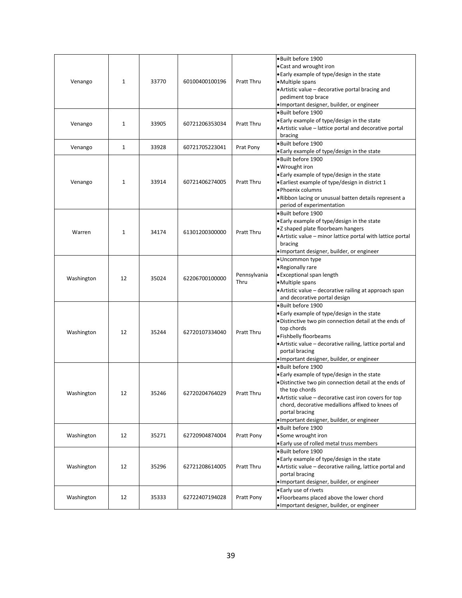| Venango    | $\mathbf 1$ | 33770 | 60100400100196 | Pratt Thru           | · Built before 1900<br>• Cast and wrought iron<br>. Early example of type/design in the state<br>• Multiple spans<br>• Artistic value - decorative portal bracing and<br>pediment top brace<br>· Important designer, builder, or engineer                                                                                    |
|------------|-------------|-------|----------------|----------------------|------------------------------------------------------------------------------------------------------------------------------------------------------------------------------------------------------------------------------------------------------------------------------------------------------------------------------|
| Venango    | 1           | 33905 | 60721206353034 | Pratt Thru           | · Built before 1900<br>. Early example of type/design in the state<br>• Artistic value – lattice portal and decorative portal<br>bracing                                                                                                                                                                                     |
| Venango    | 1           | 33928 | 60721705223041 | Prat Pony            | · Built before 1900<br>. Early example of type/design in the state                                                                                                                                                                                                                                                           |
| Venango    | 1           | 33914 | 60721406274005 | Pratt Thru           | · Built before 1900<br>• Wrought iron<br>• Early example of type/design in the state<br>• Earliest example of type/design in district 1<br>· Phoenix columns<br>. Ribbon lacing or unusual batten details represent a<br>period of experimentation                                                                           |
| Warren     | 1           | 34174 | 61301200300000 | Pratt Thru           | · Built before 1900<br>. Early example of type/design in the state<br>. Z shaped plate floorbeam hangers<br>• Artistic value - minor lattice portal with lattice portal<br>bracing<br>• Important designer, builder, or engineer                                                                                             |
| Washington | 12          | 35024 | 62206700100000 | Pennsylvania<br>Thru | · Uncommon type<br>• Regionally rare<br>• Exceptional span length<br>• Multiple spans<br>• Artistic value - decorative railing at approach span<br>and decorative portal design                                                                                                                                              |
| Washington | 12          | 35244 | 62720107334040 | <b>Pratt Thru</b>    | · Built before 1900<br>. Early example of type/design in the state<br>. Distinctive two pin connection detail at the ends of<br>top chords<br>· Fishbelly floorbeams<br>• Artistic value - decorative railing, lattice portal and<br>portal bracing<br>· Important designer, builder, or engineer                            |
| Washington | 12          | 35246 | 62720204764029 | Pratt Thru           | · Built before 1900<br>• Early example of type/design in the state<br>. Distinctive two pin connection detail at the ends of<br>the top chords<br>• Artistic value - decorative cast iron covers for top<br>chord, decorative medallions affixed to knees of<br>portal bracing<br>· Important designer, builder, or engineer |
| Washington | 12          | 35271 | 62720904874004 | Pratt Pony           | · Built before 1900<br>• Some wrought iron<br>. Early use of rolled metal truss members                                                                                                                                                                                                                                      |
| Washington | 12          | 35296 | 62721208614005 | Pratt Thru           | · Built before 1900<br>. Early example of type/design in the state<br>• Artistic value - decorative railing, lattice portal and<br>portal bracing<br>· Important designer, builder, or engineer                                                                                                                              |
| Washington | 12          | 35333 | 62722407194028 | Pratt Pony           | • Early use of rivets<br>. Floorbeams placed above the lower chord<br>· Important designer, builder, or engineer                                                                                                                                                                                                             |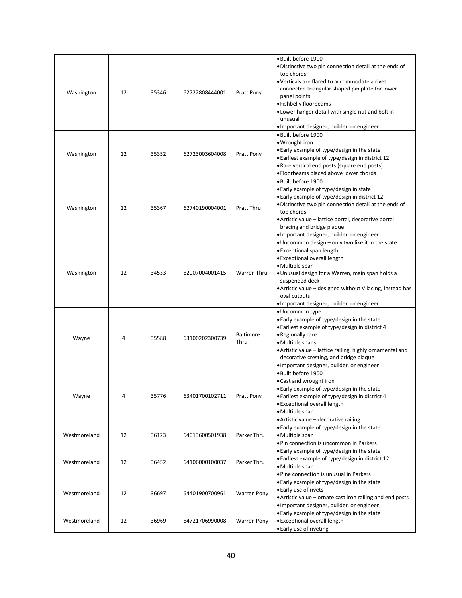| Washington   | 12 | 35346 | 62722808444001 | Pratt Pony         | · Built before 1900<br>. Distinctive two pin connection detail at the ends of<br>top chords<br>• Verticals are flared to accommodate a rivet<br>connected triangular shaped pin plate for lower<br>panel points<br>· Fishbelly floorbeams<br>. Lower hanger detail with single nut and bolt in<br>unusual<br>. Important designer, builder, or engineer |
|--------------|----|-------|----------------|--------------------|---------------------------------------------------------------------------------------------------------------------------------------------------------------------------------------------------------------------------------------------------------------------------------------------------------------------------------------------------------|
| Washington   | 12 | 35352 | 62723003604008 | Pratt Pony         | • Built before 1900<br>• Wrought iron<br>. Early example of type/design in the state<br>• Earliest example of type/design in district 12<br>. Rare vertical end posts (square end posts)<br>. Floorbeams placed above lower chords                                                                                                                      |
| Washington   | 12 | 35367 | 62740190004001 | Pratt Thru         | · Built before 1900<br>• Early example of type/design in state<br>• Early example of type/design in district 12<br>. Distinctive two pin connection detail at the ends of<br>top chords<br>• Artistic value - lattice portal, decorative portal<br>bracing and bridge plaque<br>· Important designer, builder, or engineer                              |
| Washington   | 12 | 34533 | 62007004001415 | <b>Warren Thru</b> | . Uncommon design - only two like it in the state<br>• Exceptional span length<br>· Exceptional overall length<br>• Multiple span<br>· Unusual design for a Warren, main span holds a<br>suspended deck<br>• Artistic value - designed without V lacing, instead has<br>oval cutouts<br>· Important designer, builder, or engineer                      |
| Wayne        | 4  | 35588 | 63100202300739 | Baltimore<br>Thru  | · Uncommon type<br>. Early example of type/design in the state<br>• Earliest example of type/design in district 4<br>• Regionally rare<br>• Multiple spans<br>• Artistic value - lattice railing, highly ornamental and<br>decorative cresting, and bridge plaque<br>· Important designer, builder, or engineer                                         |
| Wayne        | 4  | 35776 | 63401700102711 | Pratt Pony         | · Built before 1900<br>. Cast and wrought iron<br>. Early example of type/design in the state<br>• Earliest example of type/design in district 4<br>· Exceptional overall length<br>· Multiple span<br>· Artistic value - decorative railing                                                                                                            |
| Westmoreland | 12 | 36123 | 64013600501938 | Parker Thru        | . Early example of type/design in the state<br>· Multiple span<br>. Pin connection is uncommon in Parkers                                                                                                                                                                                                                                               |
| Westmoreland | 12 | 36452 | 64106000100037 | Parker Thru        | . Early example of type/design in the state<br>• Earliest example of type/design in district 12<br>· Multiple span<br>. Pine connection is unusual in Parkers                                                                                                                                                                                           |
| Westmoreland | 12 | 36697 | 64401900700961 | <b>Warren Pony</b> | . Early example of type/design in the state<br>• Early use of rivets<br>• Artistic value - ornate cast iron railing and end posts<br>· Important designer, builder, or engineer                                                                                                                                                                         |
| Westmoreland | 12 | 36969 | 64721706990008 | <b>Warren Pony</b> | . Early example of type/design in the state<br>· Exceptional overall length<br>• Early use of riveting                                                                                                                                                                                                                                                  |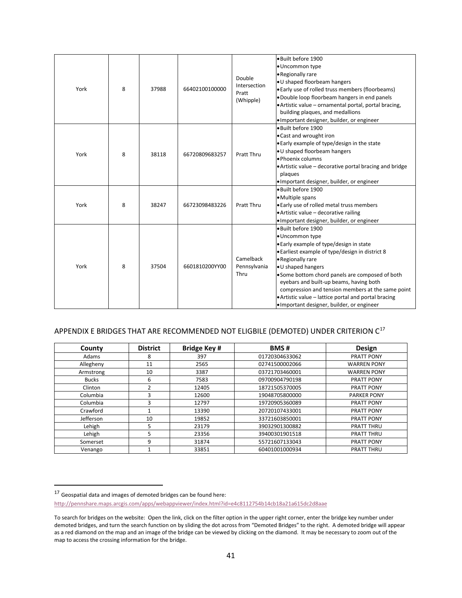| York | 8 | 37988 | 66402100100000 | Double<br>Intersection<br>Pratt<br>(Whipple) | · Built before 1900<br>· Uncommon type<br>• Regionally rare<br>· U shaped floorbeam hangers<br>• Early use of rolled truss members (floorbeams)<br>. Double loop floorbeam hangers in end panels<br>• Artistic value - ornamental portal, portal bracing,<br>building plaques, and medallions<br>· Important designer, builder, or engineer                                                                                              |
|------|---|-------|----------------|----------------------------------------------|------------------------------------------------------------------------------------------------------------------------------------------------------------------------------------------------------------------------------------------------------------------------------------------------------------------------------------------------------------------------------------------------------------------------------------------|
| York | 8 | 38118 | 66720809683257 | Pratt Thru                                   | . Built before 1900<br>• Cast and wrought iron<br>. Early example of type/design in the state<br>• U shaped floorbeam hangers<br>· Phoenix columns<br>• Artistic value – decorative portal bracing and bridge<br>plaques<br>· Important designer, builder, or engineer                                                                                                                                                                   |
| York | 8 | 38247 | 66723098483226 | Pratt Thru                                   | · Built before 1900<br>• Multiple spans<br>. Early use of rolled metal truss members<br>• Artistic value - decorative railing<br>· Important designer, builder, or engineer                                                                                                                                                                                                                                                              |
| York | 8 | 37504 | 6601810200YY00 | Camelback<br>Pennsylvania<br>Thru            | · Built before 1900<br>· Uncommon type<br>• Early example of type/design in state<br>• Earliest example of type/design in district 8<br>• Regionally rare<br>• U shaped hangers<br>• Some bottom chord panels are composed of both<br>eyebars and built-up beams, having both<br>compression and tension members at the same point<br>• Artistic value – lattice portal and portal bracing<br>· Important designer, builder, or engineer |

# APPENDIX E BRIDGES THAT ARE RECOMMENDED NOT ELIGBILE (DEMOTED) UNDER CRITERION C[17](#page-40-0)

| County       | <b>District</b> | <b>Bridge Key#</b> | <b>BMS#</b>    | <b>Design</b>      |
|--------------|-----------------|--------------------|----------------|--------------------|
| Adams        | 8               | 397                | 01720304633062 | <b>PRATT PONY</b>  |
| Allegheny    | 11              | 2565               | 02741500002066 | <b>WARREN PONY</b> |
| Armstrong    | 10              | 3387               | 03721703460001 | <b>WARREN PONY</b> |
| <b>Bucks</b> | 6               | 7583               | 09700904790198 | <b>PRATT PONY</b>  |
| Clinton      | 2               | 12405              | 18721505370005 | <b>PRATT PONY</b>  |
| Columbia     | 3               | 12600              | 19048705800000 | <b>PARKER PONY</b> |
| Columbia     | 3               | 12797              | 19720905360089 | <b>PRATT PONY</b>  |
| Crawford     |                 | 13390              | 20720107433001 | <b>PRATT PONY</b>  |
| Jefferson    | 10              | 19852              | 33721603850001 | <b>PRATT PONY</b>  |
| Lehigh       | 5               | 23179              | 39032901300882 | <b>PRATT THRU</b>  |
| Lehigh       | 5               | 23356              | 39400301901518 | <b>PRATT THRU</b>  |
| Somerset     | 9               | 31874              | 55721607133043 | <b>PRATT PONY</b>  |
| Venango      |                 | 33851              | 60401001000934 | <b>PRATT THRU</b>  |

<span id="page-40-0"></span> $^{17}$  Geospatial data and images of demoted bridges can be found here:

<http://pennshare.maps.arcgis.com/apps/webappviewer/index.html?id=e4c8112754b14cb18a21a615dc2d8aae>

To search for bridges on the website: Open the link, click on the filter option in the upper right corner, enter the bridge key number under demoted bridges, and turn the search function on by sliding the dot across from "Demoted Bridges" to the right. A demoted bridge will appear as a red diamond on the map and an image of the bridge can be viewed by clicking on the diamond. It may be necessary to zoom out of the map to access the crossing information for the bridge.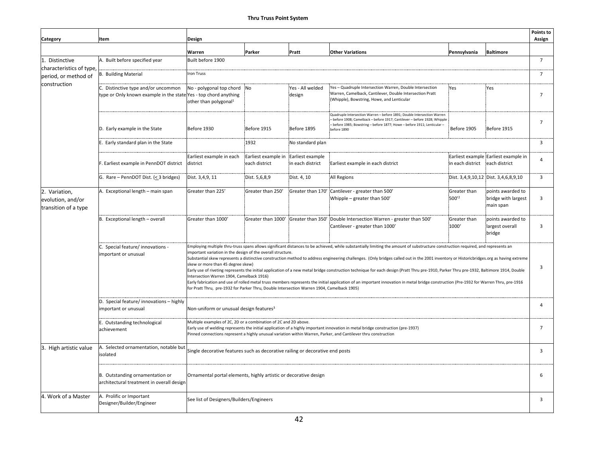#### **Thru Truss Point System**

|                                                                                    |                                                                                                         | <b>Points to</b>                                                                                                                                                                                                                                                                                                                                                                                                                                                                                                                                                                                                                                                                                                                                                                                                                                                                                                                                                                                                   |                                      |                                      |                                                                                                                                                                                                                                                 |                       |                                                       |                |
|------------------------------------------------------------------------------------|---------------------------------------------------------------------------------------------------------|--------------------------------------------------------------------------------------------------------------------------------------------------------------------------------------------------------------------------------------------------------------------------------------------------------------------------------------------------------------------------------------------------------------------------------------------------------------------------------------------------------------------------------------------------------------------------------------------------------------------------------------------------------------------------------------------------------------------------------------------------------------------------------------------------------------------------------------------------------------------------------------------------------------------------------------------------------------------------------------------------------------------|--------------------------------------|--------------------------------------|-------------------------------------------------------------------------------------------------------------------------------------------------------------------------------------------------------------------------------------------------|-----------------------|-------------------------------------------------------|----------------|
| Category                                                                           | Item                                                                                                    | Design                                                                                                                                                                                                                                                                                                                                                                                                                                                                                                                                                                                                                                                                                                                                                                                                                                                                                                                                                                                                             |                                      |                                      |                                                                                                                                                                                                                                                 |                       |                                                       | Assign         |
| 1. Distinctive<br>characteristics of type,<br>period, or method of<br>construction | A. Built before specified year                                                                          | Warren<br>Parker<br>Pratt<br><b>Other Variations</b><br>Pennsylvania<br><b>Baltimore</b><br>Built before 1900                                                                                                                                                                                                                                                                                                                                                                                                                                                                                                                                                                                                                                                                                                                                                                                                                                                                                                      |                                      |                                      |                                                                                                                                                                                                                                                 |                       |                                                       |                |
|                                                                                    | <b>B. Building Material</b>                                                                             | ron Truss                                                                                                                                                                                                                                                                                                                                                                                                                                                                                                                                                                                                                                                                                                                                                                                                                                                                                                                                                                                                          |                                      |                                      |                                                                                                                                                                                                                                                 |                       |                                                       |                |
|                                                                                    | C. Distinctive type and/or uncommon<br>type or Only known example in the state Yes - top chord anything | No - polygonal top chord No<br>other than polygonal <sup>1</sup>                                                                                                                                                                                                                                                                                                                                                                                                                                                                                                                                                                                                                                                                                                                                                                                                                                                                                                                                                   |                                      | Yes - All welded<br>design           | Yes - Quadruple Intersection Warren, Double Intersection<br>Warren, Camelback, Cantilever, Double Intersection Pratt<br>(Whipple), Bowstring, Howe, and Lenticular                                                                              | Yes                   | Yes                                                   | $\overline{7}$ |
|                                                                                    | D. Early example in the State                                                                           | Before 1930                                                                                                                                                                                                                                                                                                                                                                                                                                                                                                                                                                                                                                                                                                                                                                                                                                                                                                                                                                                                        | Before 1915                          | Before 1895                          | Quadruple Intersection Warren - before 1891; Double Intersection Warren<br>- before 1908; Camelback - before 1917; Cantilever - before 1928; Whipple<br>- before 1985; Bowstring - before 1877; Howe - before 1911; Lenticular -<br>before 1890 | Before 1905           | Before 1915                                           | $\overline{7}$ |
|                                                                                    | E. Early standard plan in the State                                                                     |                                                                                                                                                                                                                                                                                                                                                                                                                                                                                                                                                                                                                                                                                                                                                                                                                                                                                                                                                                                                                    | 1932                                 | No standard plan                     |                                                                                                                                                                                                                                                 |                       |                                                       | $\mathbf{3}$   |
|                                                                                    | F. Earliest example in PennDOT district                                                                 | Earliest example in each<br>district                                                                                                                                                                                                                                                                                                                                                                                                                                                                                                                                                                                                                                                                                                                                                                                                                                                                                                                                                                               | Earliest example in<br>each district | Earliest example<br>in each district | Earliest example in each district                                                                                                                                                                                                               | in each district      | Earliest example Earliest example in<br>each district | $\overline{4}$ |
|                                                                                    | G. Rare - PennDOT Dist. (< 3 bridges)                                                                   | Dist. 3,4,9, 11                                                                                                                                                                                                                                                                                                                                                                                                                                                                                                                                                                                                                                                                                                                                                                                                                                                                                                                                                                                                    | Dist. 5,6,8,9                        | Dist. 4, 10                          | All Regions                                                                                                                                                                                                                                     |                       | Dist. 3,4,9,10,12 Dist. 3,4,6,8,9,10                  | 3              |
| 2. Variation,<br>evolution, and/or<br>transition of a type                         | A. Exceptional length - main span                                                                       | Greater than 225'                                                                                                                                                                                                                                                                                                                                                                                                                                                                                                                                                                                                                                                                                                                                                                                                                                                                                                                                                                                                  | Greater than 250'                    |                                      | Greater than 170' Cantilever - greater than 500'<br>Whipple - greater than 500'                                                                                                                                                                 | Greater than<br>500'2 | points awarded to<br>bridge with largest<br>main span | 3              |
|                                                                                    | B. Exceptional length - overall                                                                         | Greater than 1000'                                                                                                                                                                                                                                                                                                                                                                                                                                                                                                                                                                                                                                                                                                                                                                                                                                                                                                                                                                                                 |                                      |                                      | Greater than 1000' Greater than 350' Double Intersection Warren - greater than 500'<br>Cantilever - greater than 1000'                                                                                                                          | Greater than<br>1000' | points awarded to<br>largest overall<br>bridge        | 3              |
|                                                                                    | C. Special feature/ innovations -<br>important or unusual                                               | Employing multiple thru-truss spans allows significant distances to be achieved, while substantially limiting the amount of substructure construction required, and represents an<br>important variation in the design of the overall structure.<br>Substantial skew represents a distinctive construction method to address engineering challenges. (Only bridges called out in the 2001 inventory or Historicbridges.org as having extreme<br>skew or more than 45 degree skew)<br>Early use of riveting represents the initial application of a new metal bridge construction technique for each design (Pratt Thru pre-1910, Parker Thru pre-1932, Baltimore 1914, Double<br>Intersection Warren 1904, Camelback 1916)<br>Early fabrication and use of rolled metal truss members represents the initial application of an important innovation in metal bridge construction (Pre-1932 for Warren Thru, pre-1916<br>for Pratt Thru, pre-1932 for Parker Thru, Double Intersection Warren 1904, Camelback 1905) |                                      |                                      |                                                                                                                                                                                                                                                 |                       |                                                       |                |
|                                                                                    | D. Special feature/ innovations - highly<br>mportant or unusual                                         | Non-uniform or unusual design features <sup>3</sup>                                                                                                                                                                                                                                                                                                                                                                                                                                                                                                                                                                                                                                                                                                                                                                                                                                                                                                                                                                |                                      |                                      |                                                                                                                                                                                                                                                 |                       |                                                       |                |
|                                                                                    | E. Outstanding technological<br>achievement                                                             | Multiple examples of 2C, 2D or a combination of 2C and 2D above.<br>Early use of welding represents the initial application of a highly important innovation in metal bridge construction (pre-1937)<br>Pinned connections represent a highly unusual variation within Warren, Parker, and Cantilever thru construction                                                                                                                                                                                                                                                                                                                                                                                                                                                                                                                                                                                                                                                                                            |                                      |                                      |                                                                                                                                                                                                                                                 |                       |                                                       |                |
| 3. High artistic value                                                             | A. Selected ornamentation, notable but<br>isolated                                                      | Single decorative features such as decorative railing or decorative end posts                                                                                                                                                                                                                                                                                                                                                                                                                                                                                                                                                                                                                                                                                                                                                                                                                                                                                                                                      |                                      |                                      |                                                                                                                                                                                                                                                 |                       |                                                       |                |
|                                                                                    | B. Outstanding ornamentation or<br>architectural treatment in overall design                            | Ornamental portal elements, highly artistic or decorative design                                                                                                                                                                                                                                                                                                                                                                                                                                                                                                                                                                                                                                                                                                                                                                                                                                                                                                                                                   |                                      |                                      |                                                                                                                                                                                                                                                 |                       |                                                       |                |
| 4. Work of a Master                                                                | A. Prolific or Important<br>Designer/Builder/Engineer                                                   | See list of Designers/Builders/Engineers                                                                                                                                                                                                                                                                                                                                                                                                                                                                                                                                                                                                                                                                                                                                                                                                                                                                                                                                                                           |                                      |                                      |                                                                                                                                                                                                                                                 |                       |                                                       | 3              |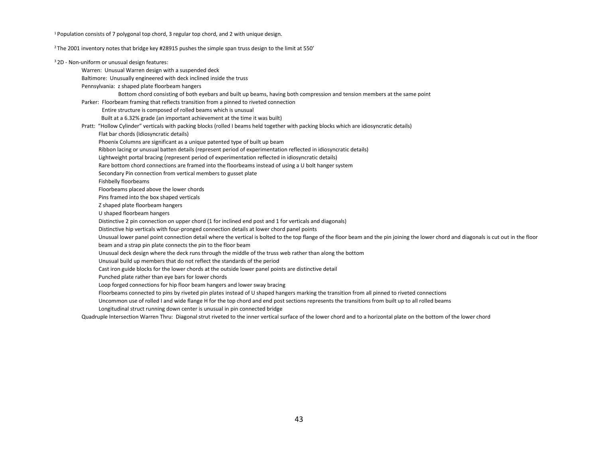<sup>1</sup> Population consists of 7 polygonal top chord, 3 regular top chord, and 2 with unique design.

<sup>2</sup> The 2001 inventory notes that bridge key #28915 pushes the simple span truss design to the limit at 550'

| <sup>3</sup> 2D - Non-uniform or unusual design features:                                                                                                                              |
|----------------------------------------------------------------------------------------------------------------------------------------------------------------------------------------|
| Warren: Unusual Warren design with a suspended deck                                                                                                                                    |
| Baltimore: Unusually engineered with deck inclined inside the truss                                                                                                                    |
| Pennsylvania: z shaped plate floorbeam hangers                                                                                                                                         |
| Bottom chord consisting of both eyebars and built up beams, having both compression and tension members at the same point                                                              |
| Parker: Floorbeam framing that reflects transition from a pinned to riveted connection                                                                                                 |
| Entire structure is composed of rolled beams which is unusual                                                                                                                          |
| Built at a 6.32% grade (an important achievement at the time it was built)                                                                                                             |
| Pratt: "Hollow Cylinder" verticals with packing blocks (rolled I beams held together with packing blocks which are idiosyncratic details)                                              |
| Flat bar chords (Idiosyncratic details)                                                                                                                                                |
| Phoenix Columns are significant as a unique patented type of built up beam                                                                                                             |
| Ribbon lacing or unusual batten details (represent period of experimentation reflected in idiosyncratic details)                                                                       |
| Lightweight portal bracing (represent period of experimentation reflected in idiosyncratic details)                                                                                    |
| Rare bottom chord connections are framed into the floorbeams instead of using a U bolt hanger system                                                                                   |
| Secondary Pin connection from vertical members to gusset plate                                                                                                                         |
| Fishbelly floorbeams                                                                                                                                                                   |
| Floorbeams placed above the lower chords                                                                                                                                               |
| Pins framed into the box shaped verticals                                                                                                                                              |
| Z shaped plate floorbeam hangers                                                                                                                                                       |
| U shaped floorbeam hangers                                                                                                                                                             |
| Distinctive 2 pin connection on upper chord (1 for inclined end post and 1 for verticals and diagonals)                                                                                |
| Distinctive hip verticals with four-pronged connection details at lower chord panel points                                                                                             |
| Unusual lower panel point connection detail where the vertical is bolted to the top flange of the floor beam and the pin joining the lower chord and diagonals is cut out in the floor |
| beam and a strap pin plate connects the pin to the floor beam                                                                                                                          |
| Unusual deck design where the deck runs through the middle of the truss web rather than along the bottom                                                                               |
| Unusual build up members that do not reflect the standards of the period                                                                                                               |
| Cast iron guide blocks for the lower chords at the outside lower panel points are distinctive detail                                                                                   |
| Punched plate rather than eye bars for lower chords                                                                                                                                    |
| Loop forged connections for hip floor beam hangers and lower sway bracing                                                                                                              |
| Floorbeams connected to pins by riveted pin plates instead of U shaped hangers marking the transition from all pinned to riveted connections                                           |
| Uncommon use of rolled I and wide flange H for the top chord and end post sections represents the transitions from built up to all rolled beams                                        |
| Longitudinal struct running down center is unusual in pin connected bridge                                                                                                             |
| Quadruple Intersection Warren Thru: Diagonal strut riveted to the inner vertical surface of the lower chord and to a horizontal plate on the bottom of the lower chord                 |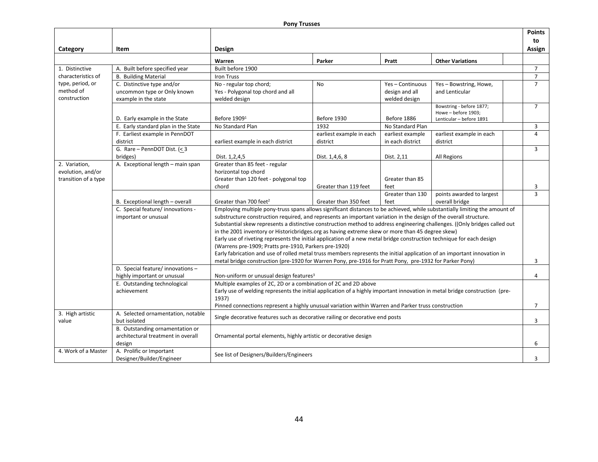|                                                            |                                                                                   |                                                                                                                                                                                                                                                                                                                                                                                                                                                                                                                                                                                                                                                                                                                                                                                                                                                                                                             |                          |                                                     |                                                                             |  | <b>Points</b>  |  |
|------------------------------------------------------------|-----------------------------------------------------------------------------------|-------------------------------------------------------------------------------------------------------------------------------------------------------------------------------------------------------------------------------------------------------------------------------------------------------------------------------------------------------------------------------------------------------------------------------------------------------------------------------------------------------------------------------------------------------------------------------------------------------------------------------------------------------------------------------------------------------------------------------------------------------------------------------------------------------------------------------------------------------------------------------------------------------------|--------------------------|-----------------------------------------------------|-----------------------------------------------------------------------------|--|----------------|--|
|                                                            |                                                                                   |                                                                                                                                                                                                                                                                                                                                                                                                                                                                                                                                                                                                                                                                                                                                                                                                                                                                                                             |                          |                                                     |                                                                             |  |                |  |
| Category                                                   | Item                                                                              | Design<br>Assign                                                                                                                                                                                                                                                                                                                                                                                                                                                                                                                                                                                                                                                                                                                                                                                                                                                                                            |                          |                                                     |                                                                             |  |                |  |
|                                                            |                                                                                   | Warren                                                                                                                                                                                                                                                                                                                                                                                                                                                                                                                                                                                                                                                                                                                                                                                                                                                                                                      | Parker                   | Pratt                                               | <b>Other Variations</b>                                                     |  |                |  |
| 1. Distinctive                                             | A. Built before specified year                                                    | Built before 1900                                                                                                                                                                                                                                                                                                                                                                                                                                                                                                                                                                                                                                                                                                                                                                                                                                                                                           |                          |                                                     |                                                                             |  |                |  |
| characteristics of                                         | <b>B. Building Material</b>                                                       | Iron Truss                                                                                                                                                                                                                                                                                                                                                                                                                                                                                                                                                                                                                                                                                                                                                                                                                                                                                                  |                          |                                                     |                                                                             |  |                |  |
| type, period, or<br>method of<br>construction              | C. Distinctive type and/or<br>uncommon type or Only known<br>example in the state | No - regular top chord;<br>Yes - Polygonal top chord and all<br>welded design                                                                                                                                                                                                                                                                                                                                                                                                                                                                                                                                                                                                                                                                                                                                                                                                                               | <b>No</b>                | Yes - Continuous<br>design and all<br>welded design | $Yes$ – Bowstring, Howe,<br>and Lenticular                                  |  | $\overline{7}$ |  |
|                                                            | D. Early example in the State                                                     | Before 1909 <sup>1</sup>                                                                                                                                                                                                                                                                                                                                                                                                                                                                                                                                                                                                                                                                                                                                                                                                                                                                                    | Before 1930              | Before 1886                                         | Bowstring - before 1877;<br>Howe - before 1903;<br>Lenticular - before 1891 |  | $\overline{7}$ |  |
|                                                            | E. Early standard plan in the State                                               | No Standard Plan                                                                                                                                                                                                                                                                                                                                                                                                                                                                                                                                                                                                                                                                                                                                                                                                                                                                                            | 1932                     | No Standard Plan                                    |                                                                             |  | 3              |  |
|                                                            | F. Earliest example in PennDOT                                                    |                                                                                                                                                                                                                                                                                                                                                                                                                                                                                                                                                                                                                                                                                                                                                                                                                                                                                                             | earliest example in each | earliest example                                    | earliest example in each                                                    |  | $\overline{4}$ |  |
|                                                            | district                                                                          | earliest example in each district                                                                                                                                                                                                                                                                                                                                                                                                                                                                                                                                                                                                                                                                                                                                                                                                                                                                           | district                 | in each district                                    | district                                                                    |  |                |  |
|                                                            | G. Rare - PennDOT Dist. (< 3                                                      |                                                                                                                                                                                                                                                                                                                                                                                                                                                                                                                                                                                                                                                                                                                                                                                                                                                                                                             |                          |                                                     |                                                                             |  | $\overline{3}$ |  |
|                                                            | bridges)                                                                          | Dist. 1, 2, 4, 5                                                                                                                                                                                                                                                                                                                                                                                                                                                                                                                                                                                                                                                                                                                                                                                                                                                                                            | Dist. 1,4,6, 8           | Dist. 2,11                                          | All Regions                                                                 |  |                |  |
| 2. Variation,<br>evolution, and/or<br>transition of a type | A. Exceptional length - main span                                                 | Greater than 85 feet - regular<br>horizontal top chord<br>Greater than 120 feet - polygonal top<br>chord                                                                                                                                                                                                                                                                                                                                                                                                                                                                                                                                                                                                                                                                                                                                                                                                    | Greater than 119 feet    | Greater than 85<br>feet                             |                                                                             |  | 3              |  |
|                                                            |                                                                                   |                                                                                                                                                                                                                                                                                                                                                                                                                                                                                                                                                                                                                                                                                                                                                                                                                                                                                                             |                          | Greater than 130                                    | points awarded to largest                                                   |  | $\mathbf{3}$   |  |
|                                                            | B. Exceptional length - overall                                                   | Greater than 700 feet <sup>2</sup>                                                                                                                                                                                                                                                                                                                                                                                                                                                                                                                                                                                                                                                                                                                                                                                                                                                                          | Greater than 350 feet    | feet                                                | overall bridge                                                              |  |                |  |
|                                                            | C. Special feature/ innovations -<br>important or unusual                         | Employing multiple pony-truss spans allows significant distances to be achieved, while substantially limiting the amount of<br>substructure construction required, and represents an important variation in the design of the overall structure.<br>Substantial skew represents a distinctive construction method to address engineering challenges. ((Only bridges called out<br>in the 2001 inventory or Historicbridges.org as having extreme skew or more than 45 degree skew)<br>Early use of riveting represents the initial application of a new metal bridge construction technique for each design<br>(Warrens pre-1909; Pratts pre-1910, Parkers pre-1920)<br>Early fabrication and use of rolled metal truss members represents the initial application of an important innovation in<br>metal bridge construction (pre-1920 for Warren Pony, pre-1916 for Pratt Pony, pre-1932 for Parker Pony) |                          |                                                     |                                                                             |  |                |  |
|                                                            | D. Special feature/ innovations -                                                 |                                                                                                                                                                                                                                                                                                                                                                                                                                                                                                                                                                                                                                                                                                                                                                                                                                                                                                             |                          |                                                     |                                                                             |  |                |  |
|                                                            | highly important or unusual<br>E. Outstanding technological<br>achievement        | Non-uniform or unusual design features <sup>3</sup><br>Multiple examples of 2C, 2D or a combination of 2C and 2D above<br>Early use of welding represents the initial application of a highly important innovation in metal bridge construction (pre-<br>1937)<br>Pinned connections represent a highly unusual variation within Warren and Parker truss construction                                                                                                                                                                                                                                                                                                                                                                                                                                                                                                                                       |                          |                                                     |                                                                             |  |                |  |
| 3. High artistic                                           | A. Selected ornamentation, notable                                                | Single decorative features such as decorative railing or decorative end posts                                                                                                                                                                                                                                                                                                                                                                                                                                                                                                                                                                                                                                                                                                                                                                                                                               |                          |                                                     |                                                                             |  |                |  |
| value                                                      | but isolated                                                                      |                                                                                                                                                                                                                                                                                                                                                                                                                                                                                                                                                                                                                                                                                                                                                                                                                                                                                                             |                          |                                                     |                                                                             |  | 3              |  |
|                                                            | B. Outstanding ornamentation or<br>architectural treatment in overall<br>design   | Ornamental portal elements, highly artistic or decorative design                                                                                                                                                                                                                                                                                                                                                                                                                                                                                                                                                                                                                                                                                                                                                                                                                                            |                          |                                                     |                                                                             |  |                |  |
| 4. Work of a Master                                        | A. Prolific or Important<br>Designer/Builder/Engineer                             | See list of Designers/Builders/Engineers                                                                                                                                                                                                                                                                                                                                                                                                                                                                                                                                                                                                                                                                                                                                                                                                                                                                    |                          |                                                     |                                                                             |  | 3              |  |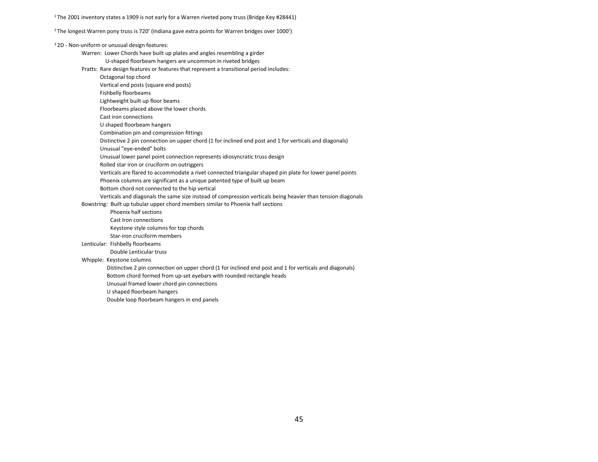<sup>1</sup> The 2001 inventory states a 1909 is not early for a Warren riveted pony truss (Bridge Key #28441)

<sup>2</sup> The longest Warren pony truss is 720' (Indiana gave extra points for Warren bridges over 1000')

#### <sup>3</sup> 2D - Non-uniform or unusual design features:

Warren: Lower Chords have built up plates and angles resembling a girder

- U-shaped floorbeam hangers are uncommon in riveted bridges
- Pratts: Rare design features or features that represent a transitional period includes:
	- Octagonal top chord
	- Vertical end posts (square end posts)
	- Fishbelly floorbeams
	- Lightweight built up floor beams
	- Floorbeams placed above the lower chords
	- Cast iron connections
	- U shaped floorbeam hangers
	- Combination pin and compression fittings
	- Distinctive 2 pin connection on upper chord (1 for inclined end post and 1 for verticals and diagonals)
	- Unusual "eye-ended" bolts
	- Unusual lower panel point connection represents idiosyncratic truss design
	- Rolled star iron or cruciform on outriggers
	- Verticals are flared to accommodate a rivet connected triangular shaped pin plate for lower panel points
	- Phoenix columns are significant as a unique patented type of built up beam
	- Bottom chord not connected to the hip vertical
	- Verticals and diagonals the same size instead of compression verticals being heavier than tension diagonals
- Bowstring: Built up tubular upper chord members similar to Phoenix half sections
	- Phoenix half sections
	- Cast Iron connections
	- Keystone style columns for top chords
	- Star-iron cruciform members

#### Lenticular: Fishbelly floorbeams

Double Lenticular truss

#### Whipple: Keystone columns

- Distinctive 2 pin connection on upper chord (1 for inclined end post and 1 for verticals and diagonals)
- Bottom chord formed from up-set eyebars with rounded rectangle heads
- Unusual framed lower chord pin connections
- U shaped floorbeam hangers
- Double loop floorbeam hangers in end panels